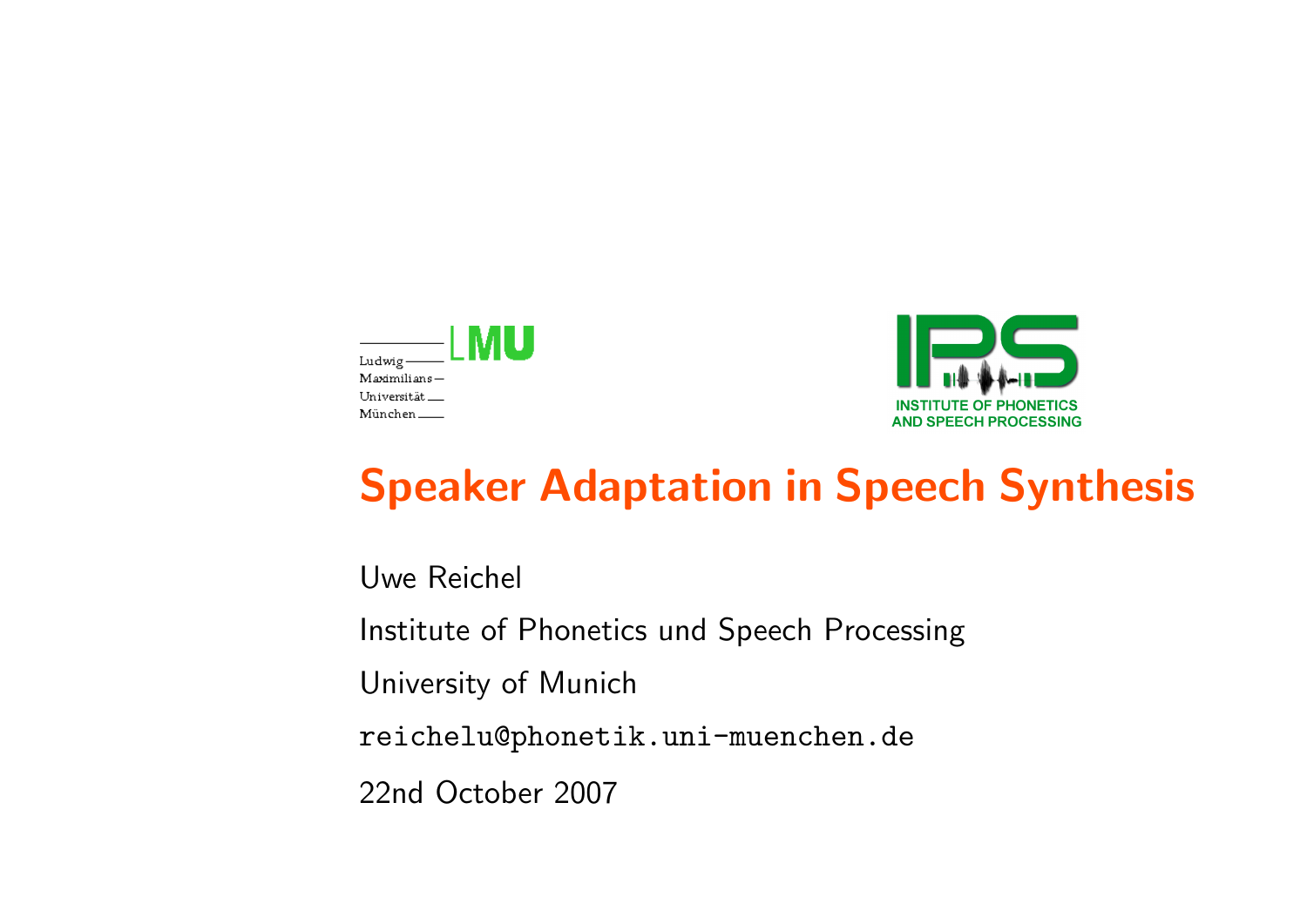



# Speaker Adaptation in Speech Synthesis

Uwe Reichel

Institute of Phonetics und Speech Processing

University of Munich

reichelu@phonetik.uni-muenchen.de

22nd October 2007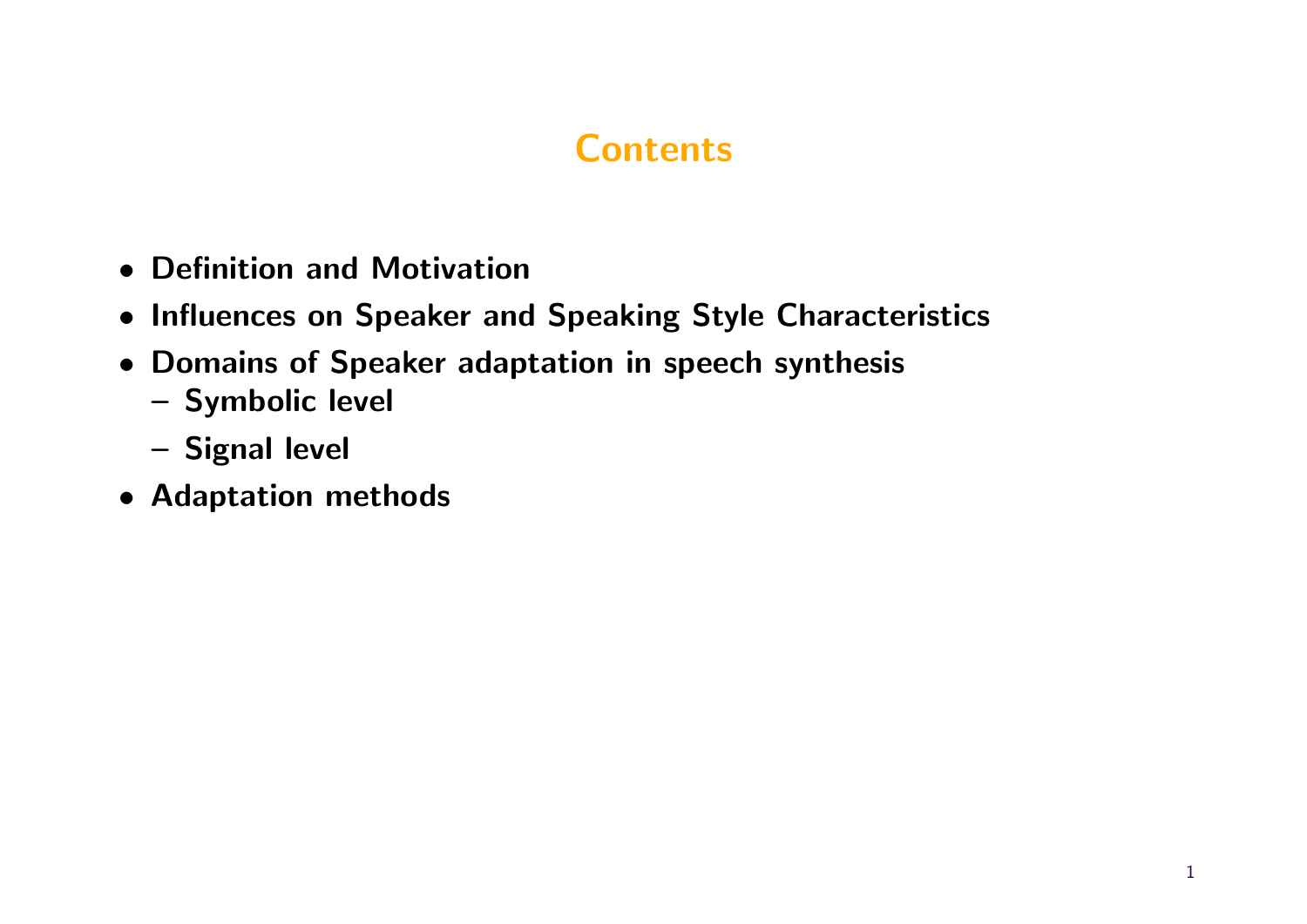- Definition and Motivation
- Influences on Speaker and Speaking Style Characteristics
- Domains of Speaker adaptation in speech synthesis
	- Symbolic level
	- Signal level
- Adaptation methods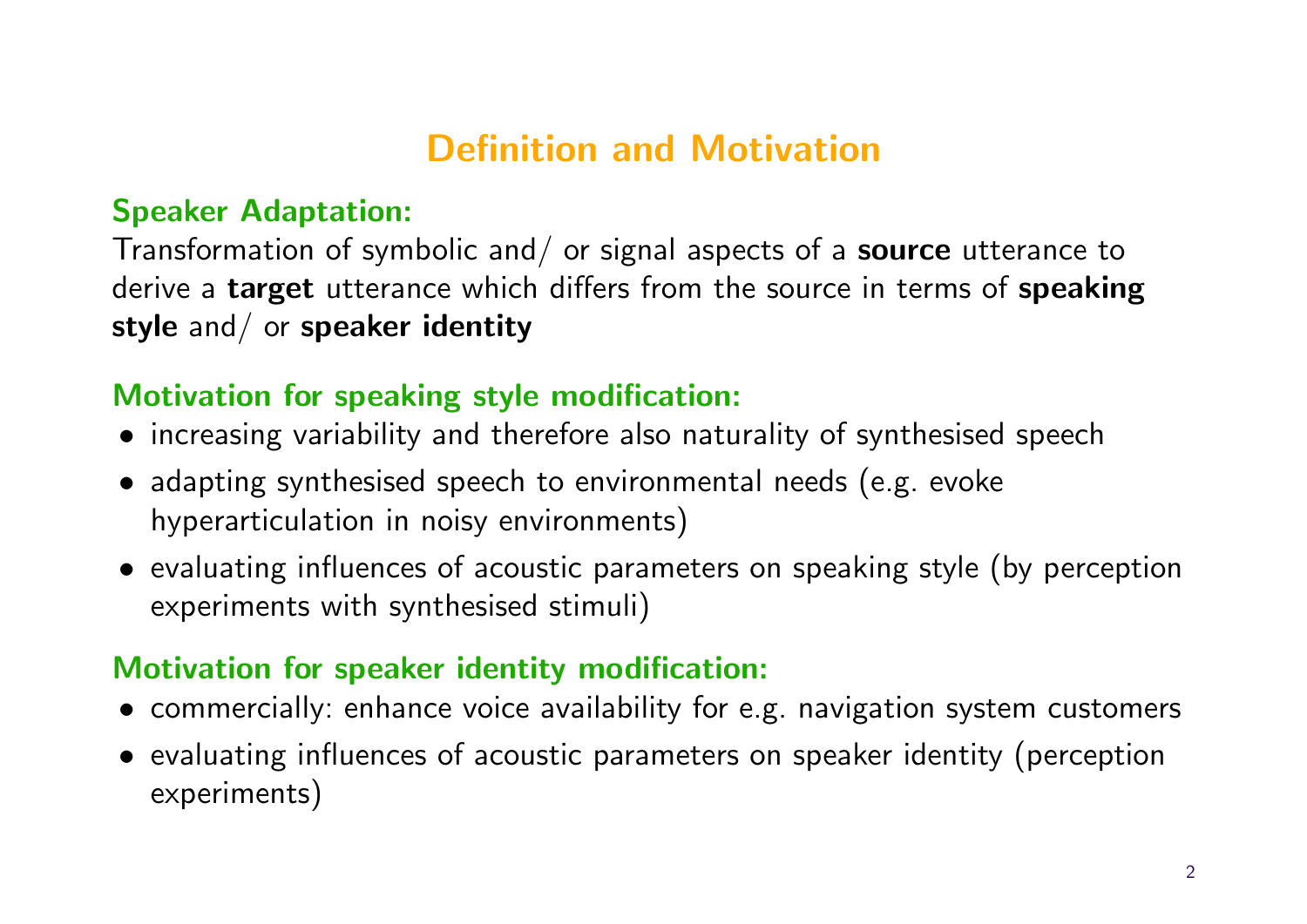# Definition and Motivation

#### Speaker Adaptation:

Transformation of symbolic and/ or signal aspects of a **source** utterance to derive a target utterance which differs from the source in terms of speaking style and/ or speaker identity

### Motivation for speaking style modification:

- increasing variability and therefore also naturality of synthesised speech
- adapting synthesised speech to environmental needs (e.g. evoke hyperarticulation in noisy environments)
- evaluating influences of acoustic parameters on speaking style (by perception experiments with synthesised stimuli)

### Motivation for speaker identity modification:

- commercially: enhance voice availability for e.g. navigation system customers
- evaluating influences of acoustic parameters on speaker identity (perception experiments)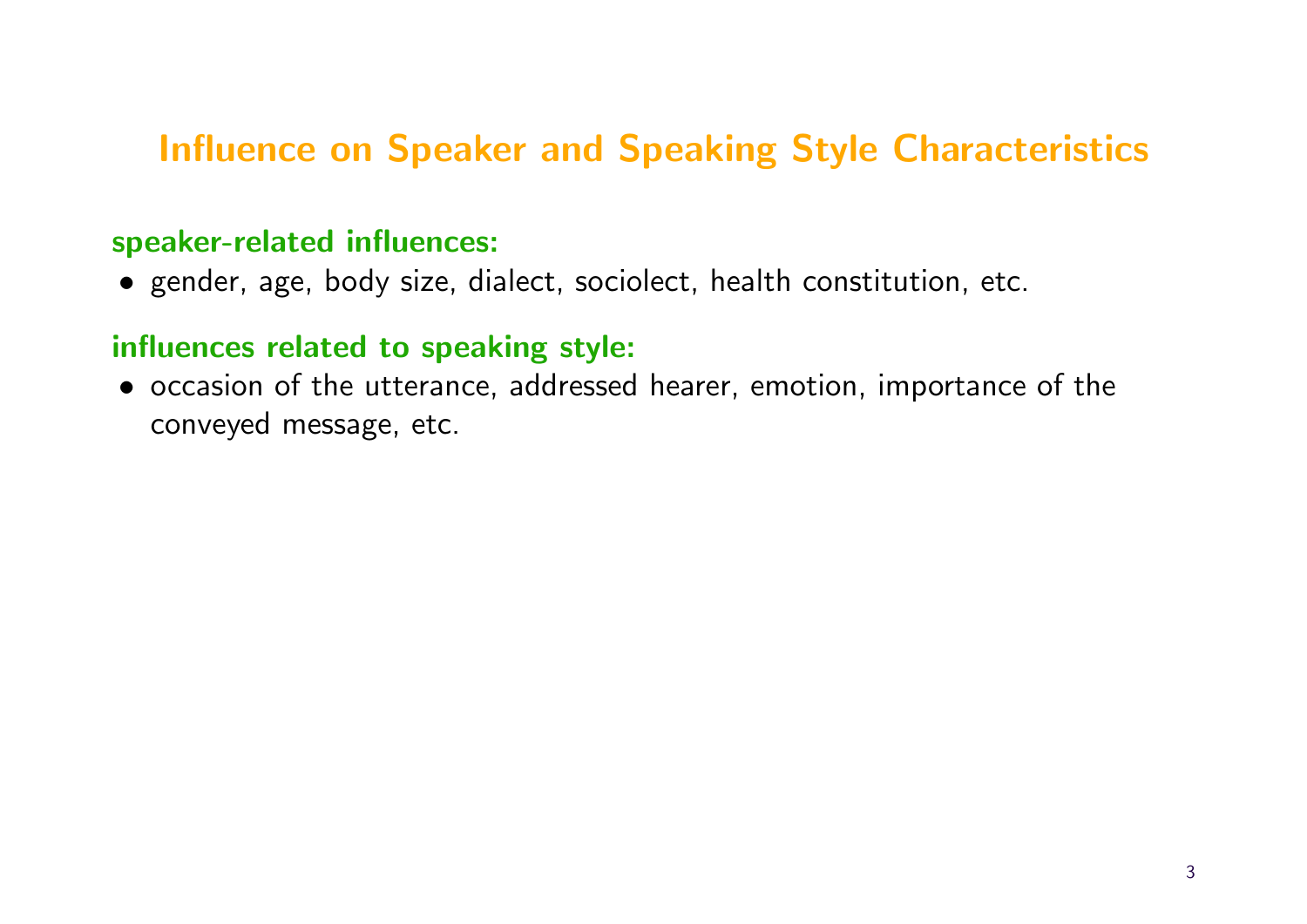# Influence on Speaker and Speaking Style Characteristics

#### speaker-related influences:

• gender, age, body size, dialect, sociolect, health constitution, etc.

#### influences related to speaking style:

• occasion of the utterance, addressed hearer, emotion, importance of the conveyed message, etc.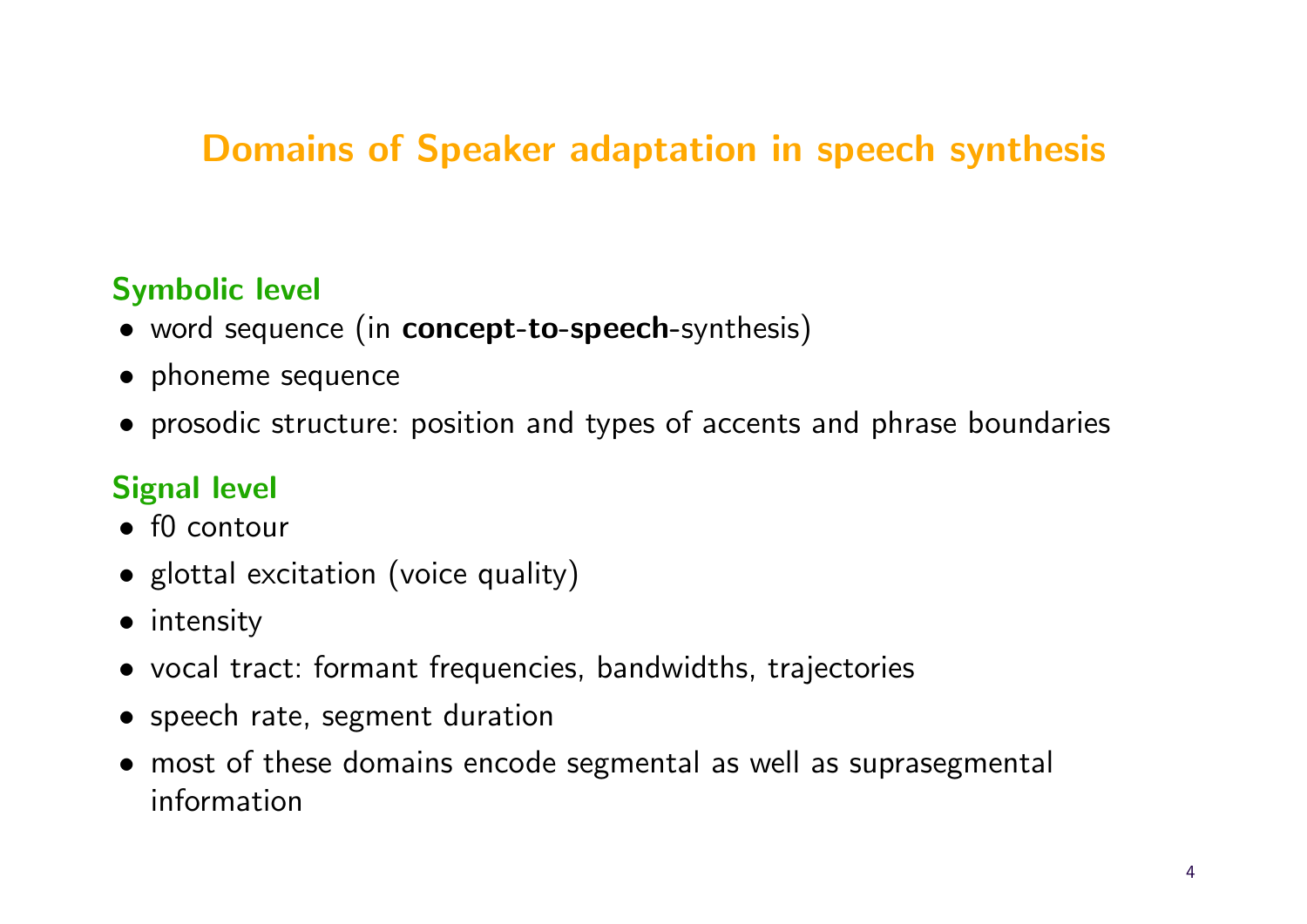# Domains of Speaker adaptation in speech synthesis

### Symbolic level

- word sequence (in concept-to-speech-synthesis)
- phoneme sequence
- prosodic structure: position and types of accents and phrase boundaries

# Signal level

- f0 contour
- glottal excitation (voice quality)
- intensity
- vocal tract: formant frequencies, bandwidths, trajectories
- speech rate, segment duration
- most of these domains encode segmental as well as suprasegmental information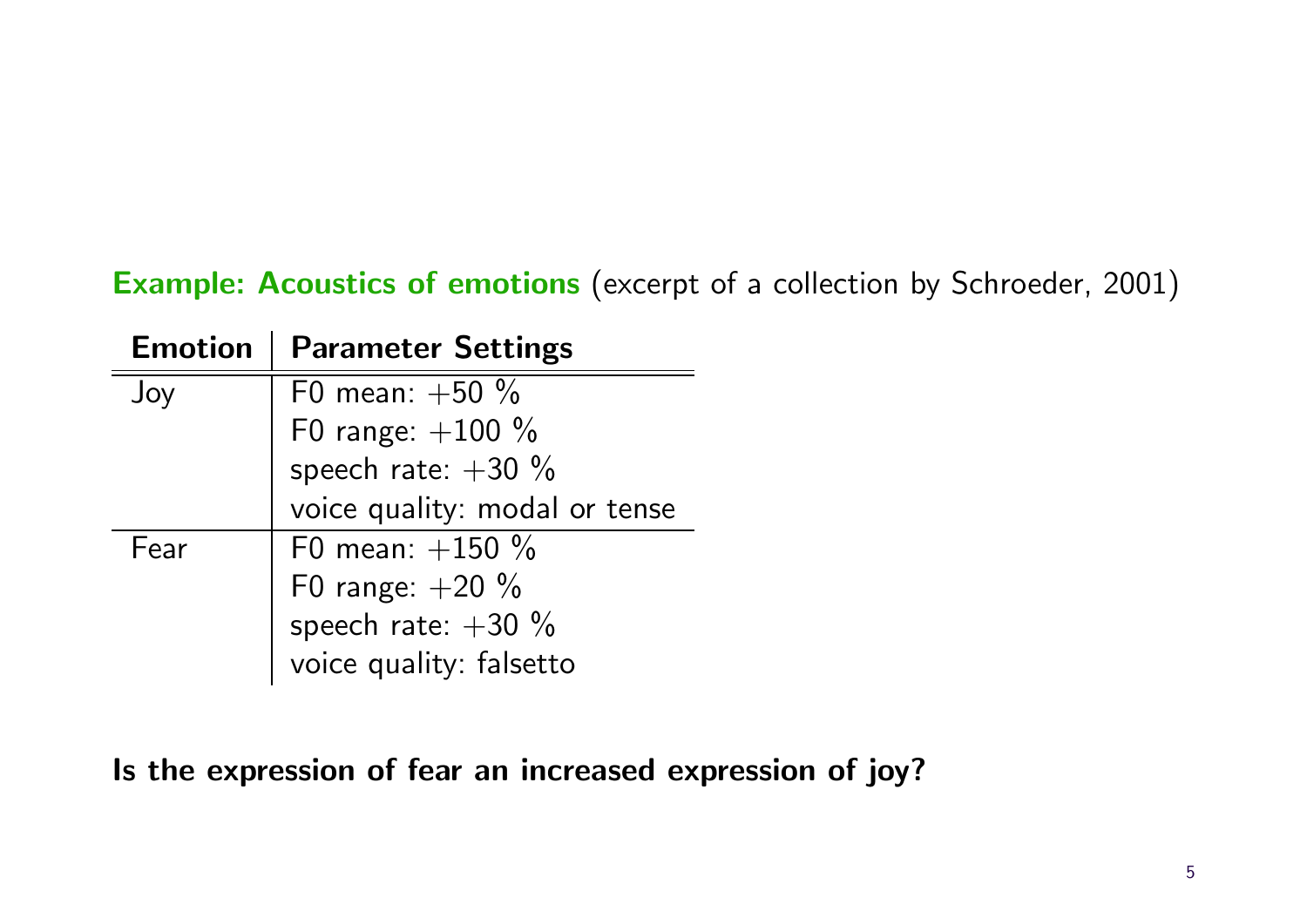### Example: Acoustics of emotions (excerpt of a collection by Schroeder, 2001)

| <b>Emotion</b> | <b>Parameter Settings</b>     |
|----------------|-------------------------------|
| Joy            | F0 mean: $+50 \%$             |
|                | F0 range: $+100 \%$           |
|                | speech rate: $+30\%$          |
|                | voice quality: modal or tense |
| Fear           | F0 mean: $+150 \%$            |
|                | F0 range: $+20 \%$            |
|                | speech rate: $+30\%$          |
|                | voice quality: falsetto       |

Is the expression of fear an increased expression of joy?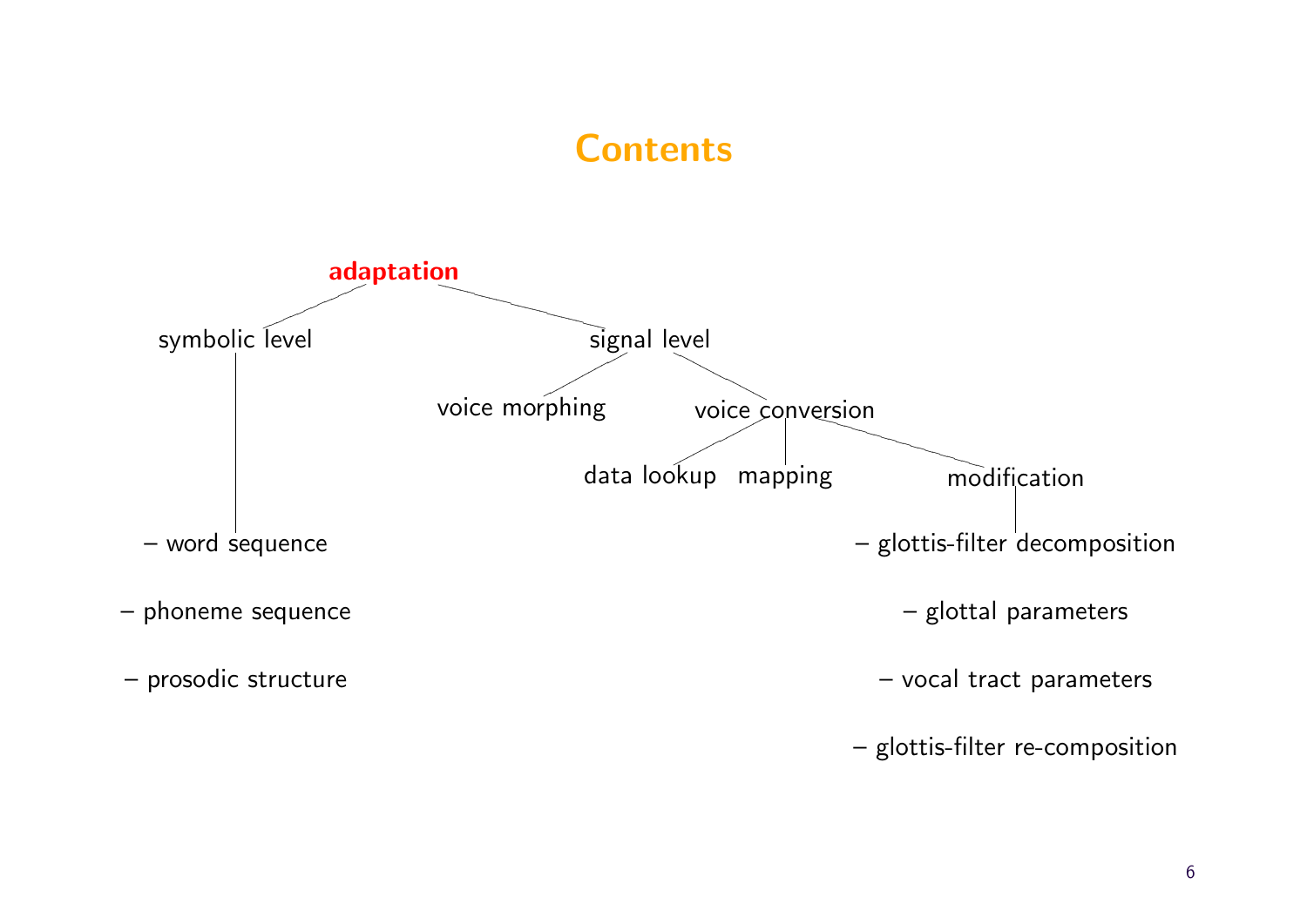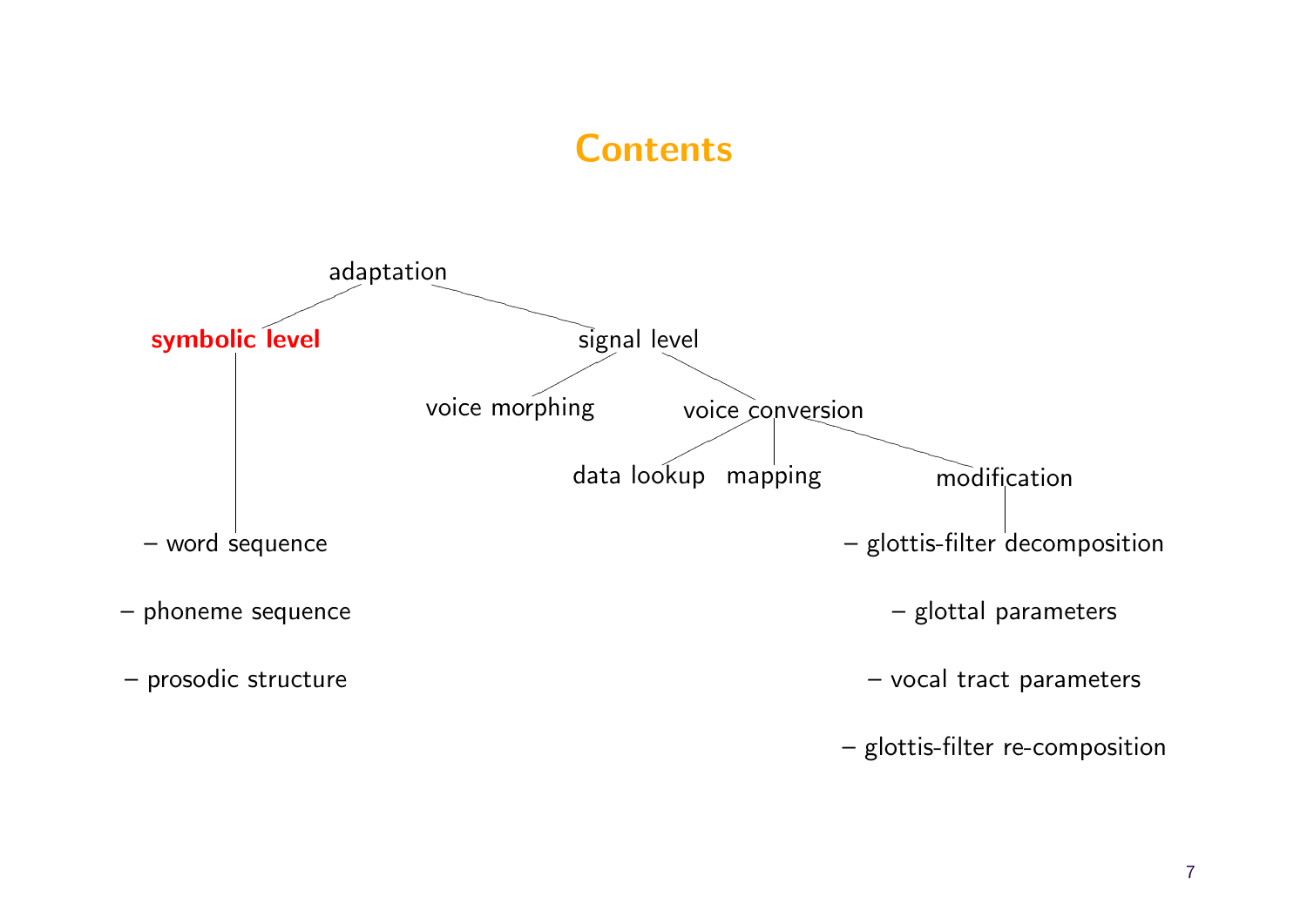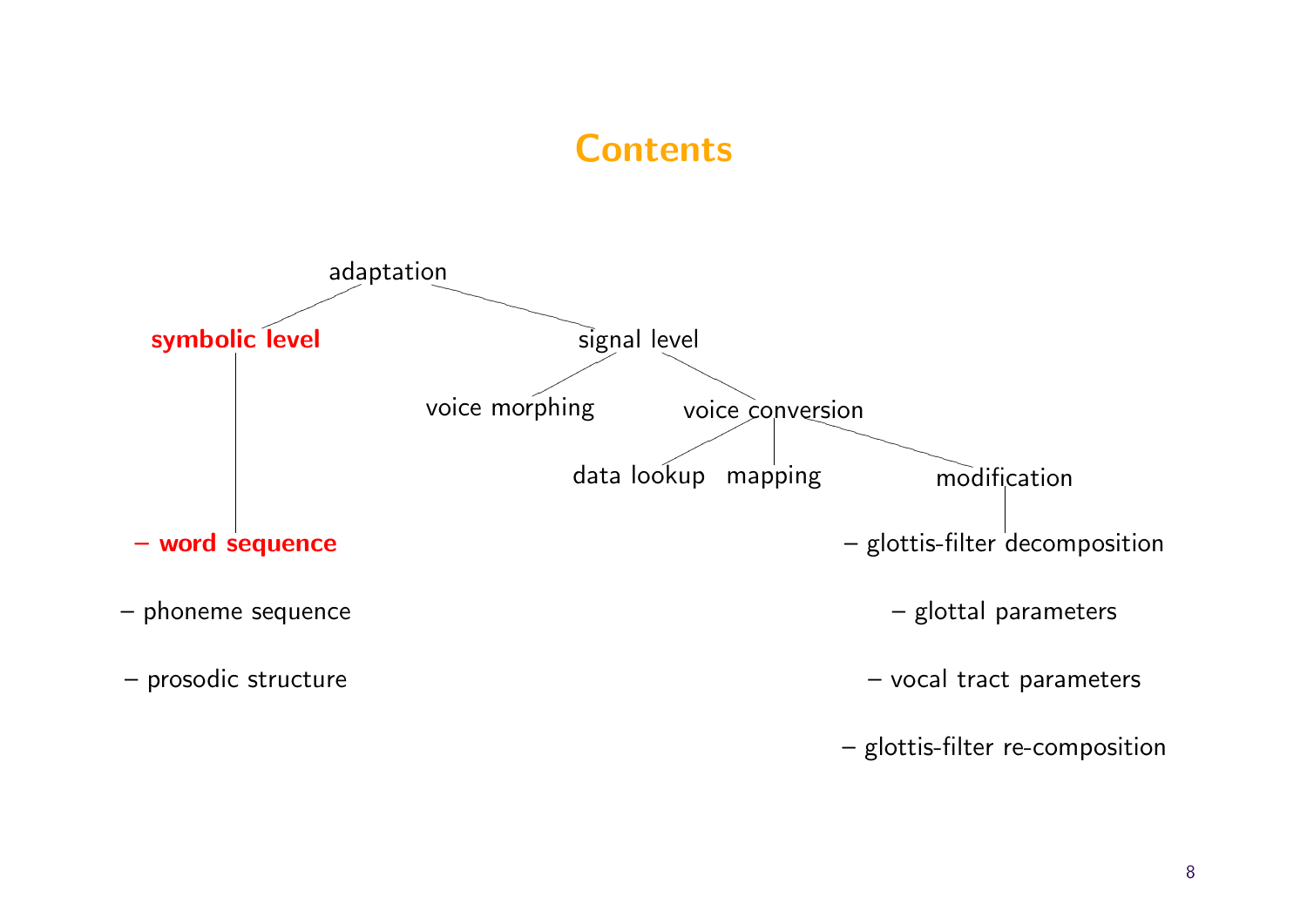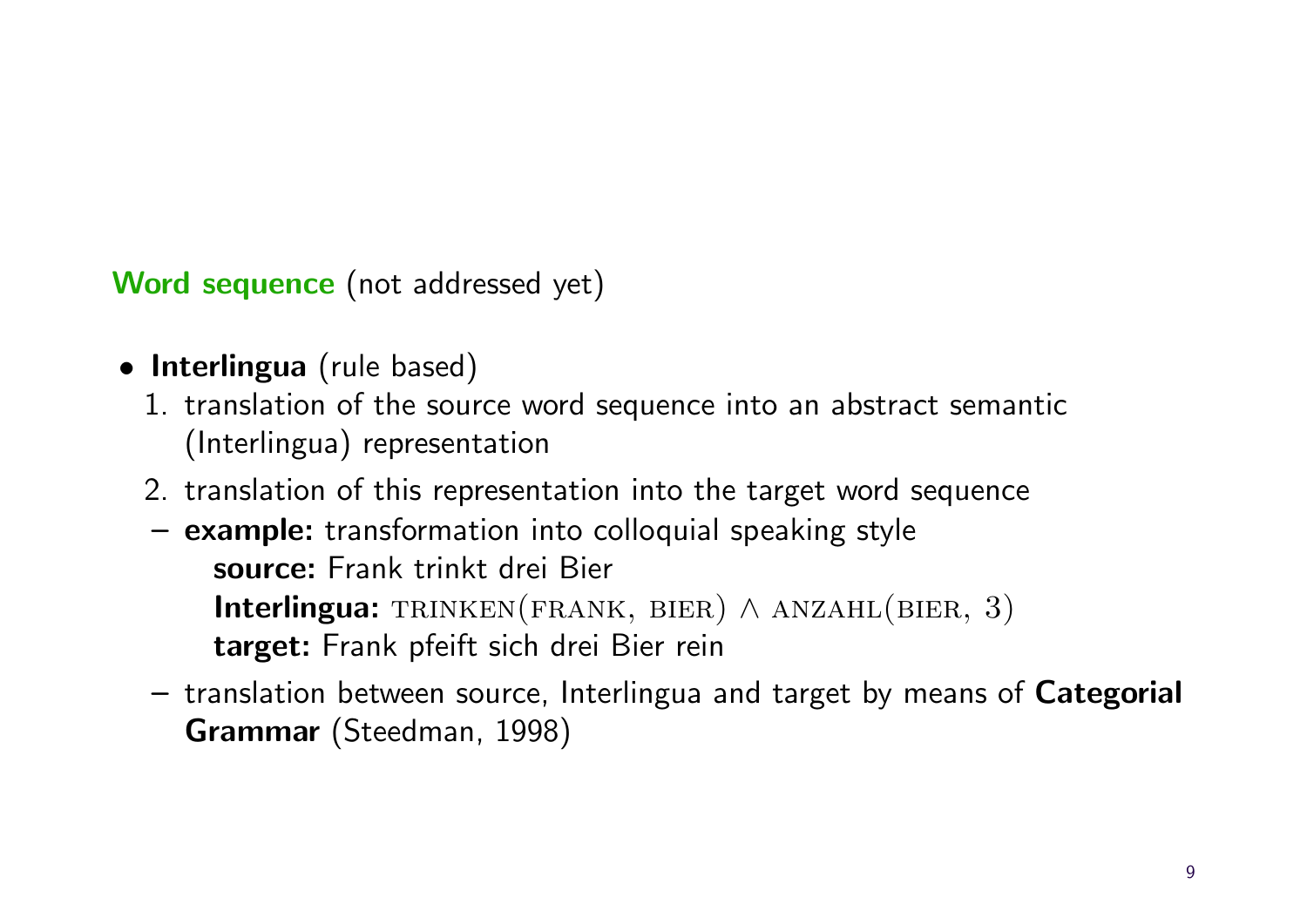Word sequence (not addressed yet)

- Interlingua (rule based)
	- 1. translation of the source word sequence into an abstract semantic (Interlingua) representation
	- 2. translation of this representation into the target word sequence
	- example: transformation into colloquial speaking style source: Frank trinkt drei Bier Interlingua: TRINKEN(FRANK, BIER)  $\land$  ANZAHL(BIER, 3) target: Frank pfeift sich drei Bier rein
	- translation between source, Interlingua and target by means of Categorial Grammar (Steedman, 1998)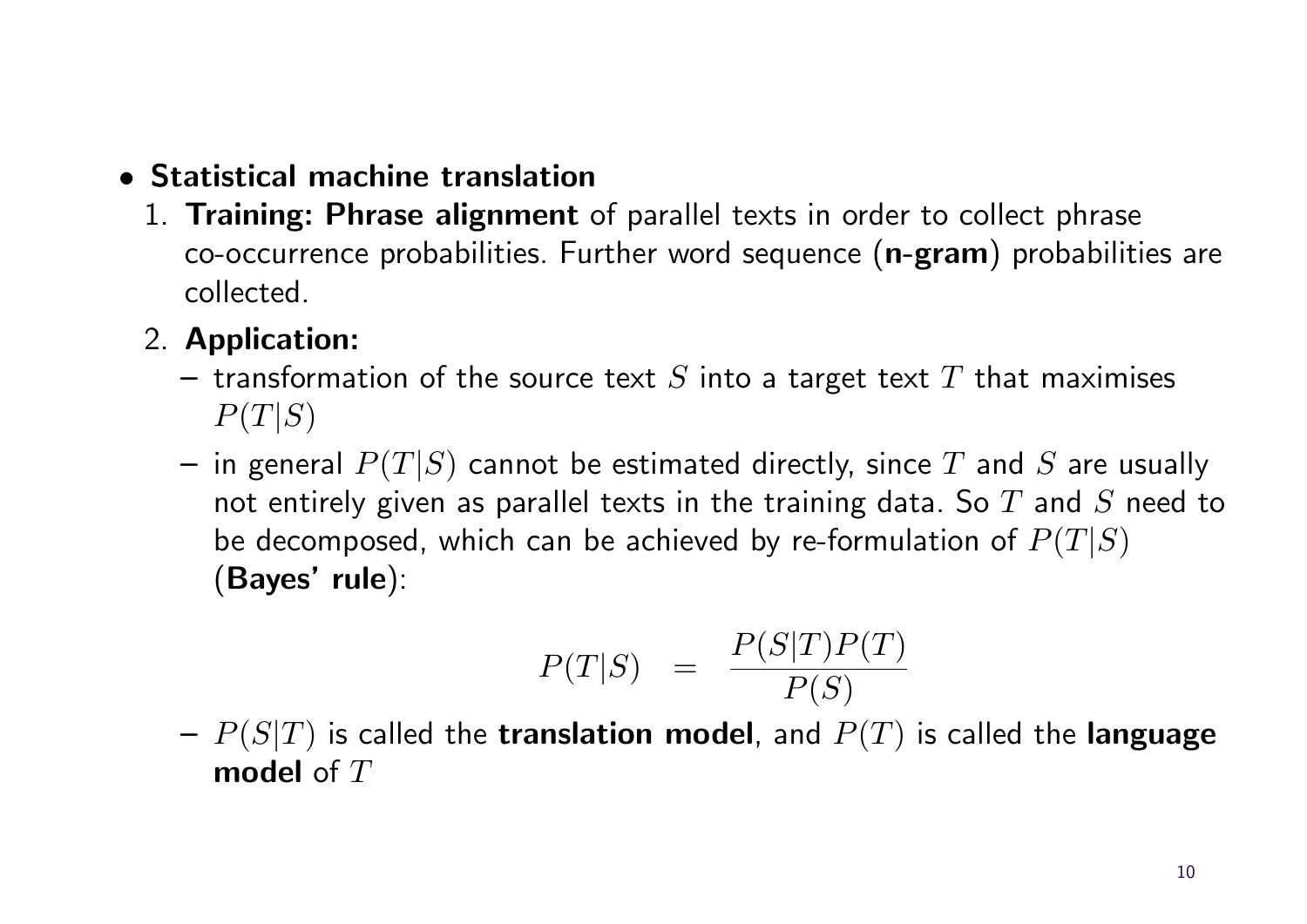### • Statistical machine translation

1. Training: Phrase alignment of parallel texts in order to collect phrase co-occurrence probabilities. Further word sequence (n-gram) probabilities are collected.

### 2. Application:

- transformation of the source text S into a target text T that maximises  $P(T|S)$
- in general  $P(T|S)$  cannot be estimated directly, since T and S are usually not entirely given as parallel texts in the training data. So  $T$  and  $S$  need to be decomposed, which can be achieved by re-formulation of  $P(T|S)$ (Bayes' rule):

$$
P(T|S) = \frac{P(S|T)P(T)}{P(S)}
$$

 $P(-P(S|T))$  is called the **translation model**, and  $P(T)$  is called the **language** model of  $T$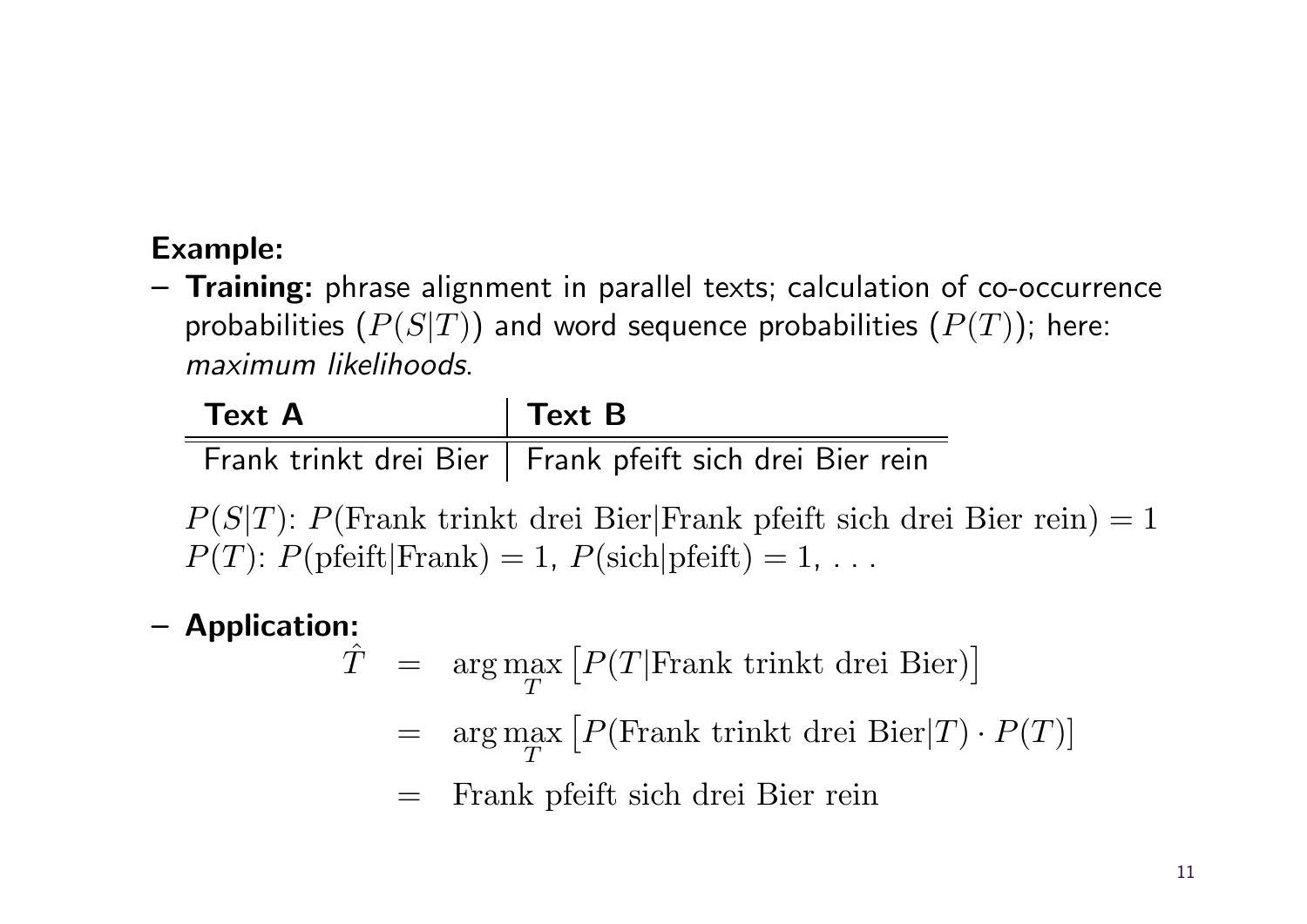# Example:

– Training: phrase alignment in parallel texts; calculation of co-occurrence probabilities  $(P(S|T))$  and word sequence probabilities  $(P(T))$ ; here: maximum likelihoods.

| <b>Text A</b> | $\vert$ Text B                                            |
|---------------|-----------------------------------------------------------|
|               | Frank trinkt drei Bier   Frank pfeift sich drei Bier rein |

 $P(S|T)$ :  $P(\text{Frank trinkt drei Bier}|\text{Frank pfeift sich drei Bier rein}) = 1$  $P(T)$ :  $P(\text{pfeift}|\text{Frank}) = 1$ ,  $P(\text{sich}|\text{pfeift}) = 1$ , ...

### – Application:

- $\hat{T}$  = arg max  $\overline{T}$  $[P(T|Frank trinkt drei Bier)]$ 
	- $=$  arg max  $\overline{T}$  $[P(\text{Frank trinkt drei Bier}|T) \cdot P(T)]$
	- = Frank pfeift sich drei Bier rein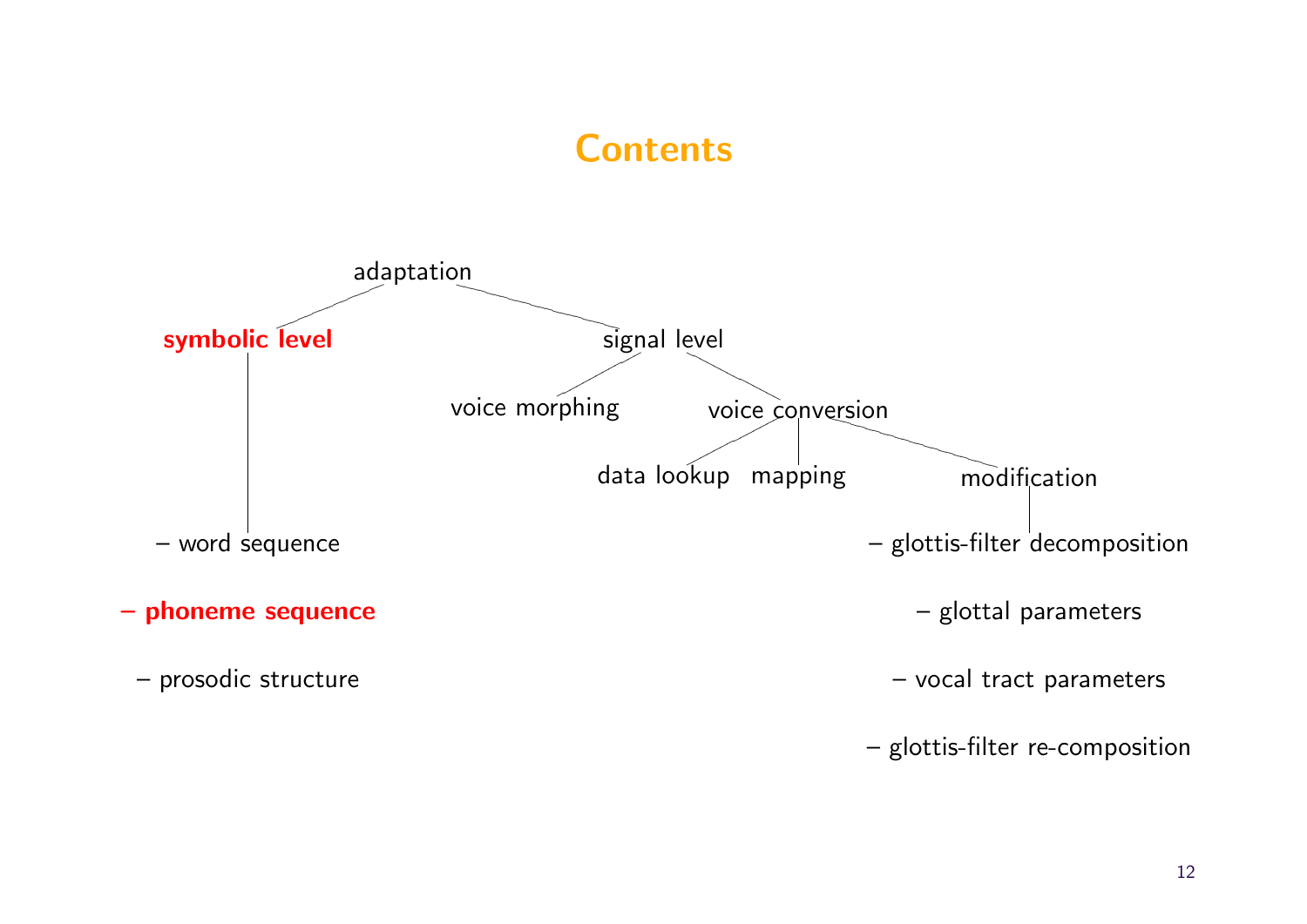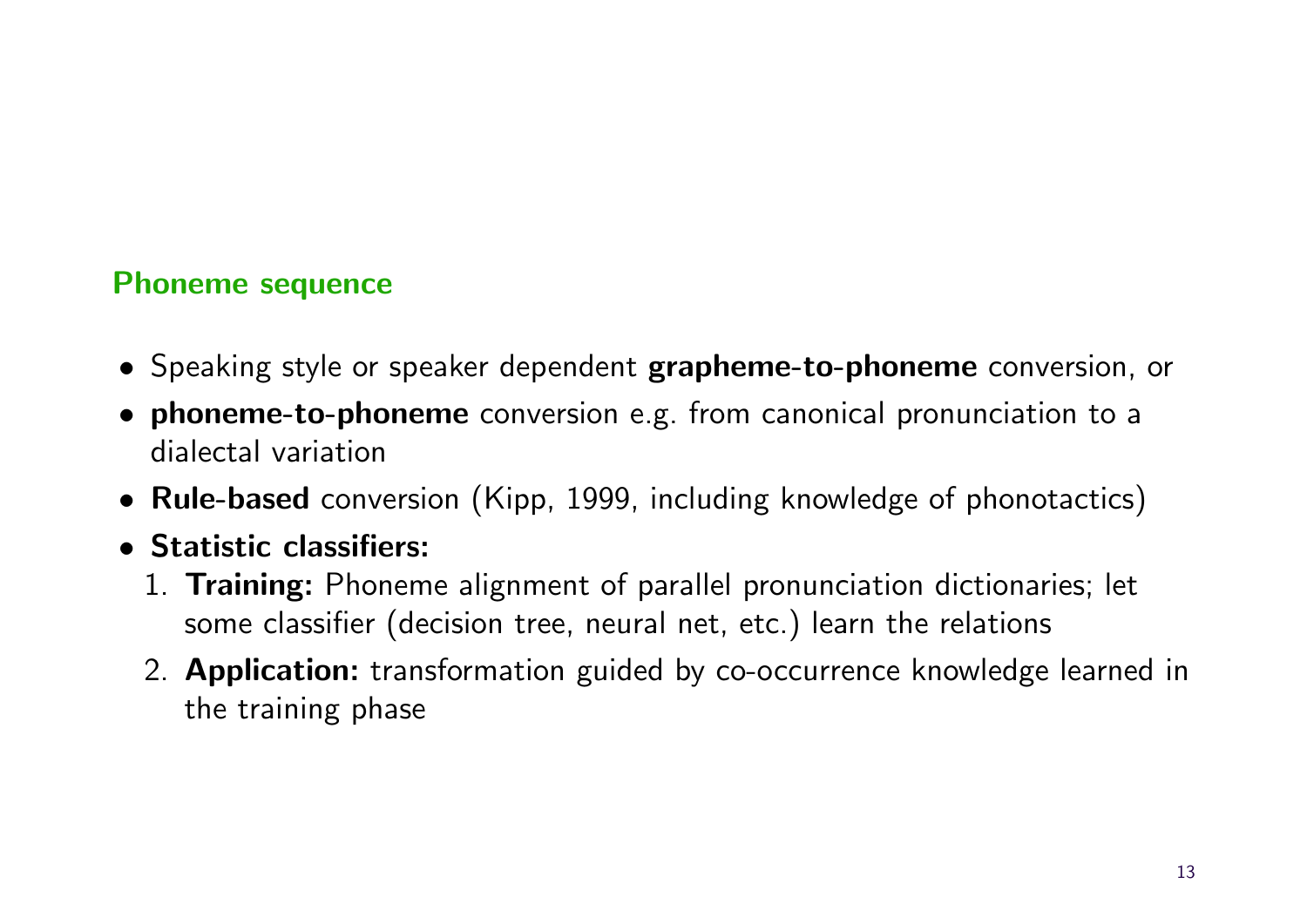#### Phoneme sequence

- Speaking style or speaker dependent grapheme-to-phoneme conversion, or
- phoneme-to-phoneme conversion e.g. from canonical pronunciation to a dialectal variation
- Rule-based conversion (Kipp, 1999, including knowledge of phonotactics)
- Statistic classifiers:
	- 1. Training: Phoneme alignment of parallel pronunciation dictionaries; let some classifier (decision tree, neural net, etc.) learn the relations
	- 2. **Application:** transformation guided by co-occurrence knowledge learned in the training phase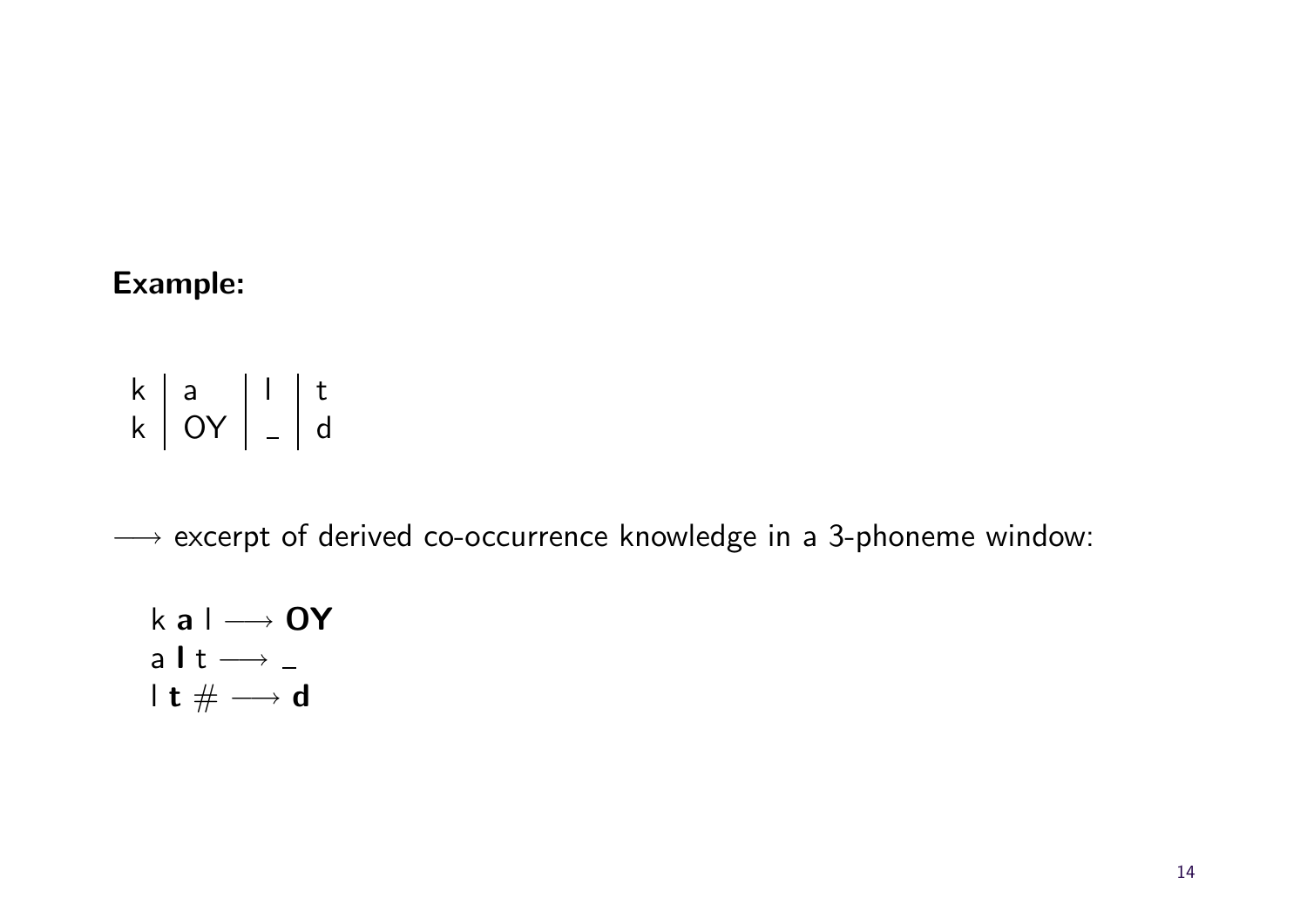#### Example:

$$
\begin{array}{c|c|c|c|c} k & a & l & t \\ k & OY & - & d \end{array}
$$

→ excerpt of derived co-occurrence knowledge in a 3-phoneme window:

$$
k a l \longrightarrow OY
$$
  
a l t \longrightarrow -  
l t # \longrightarrow d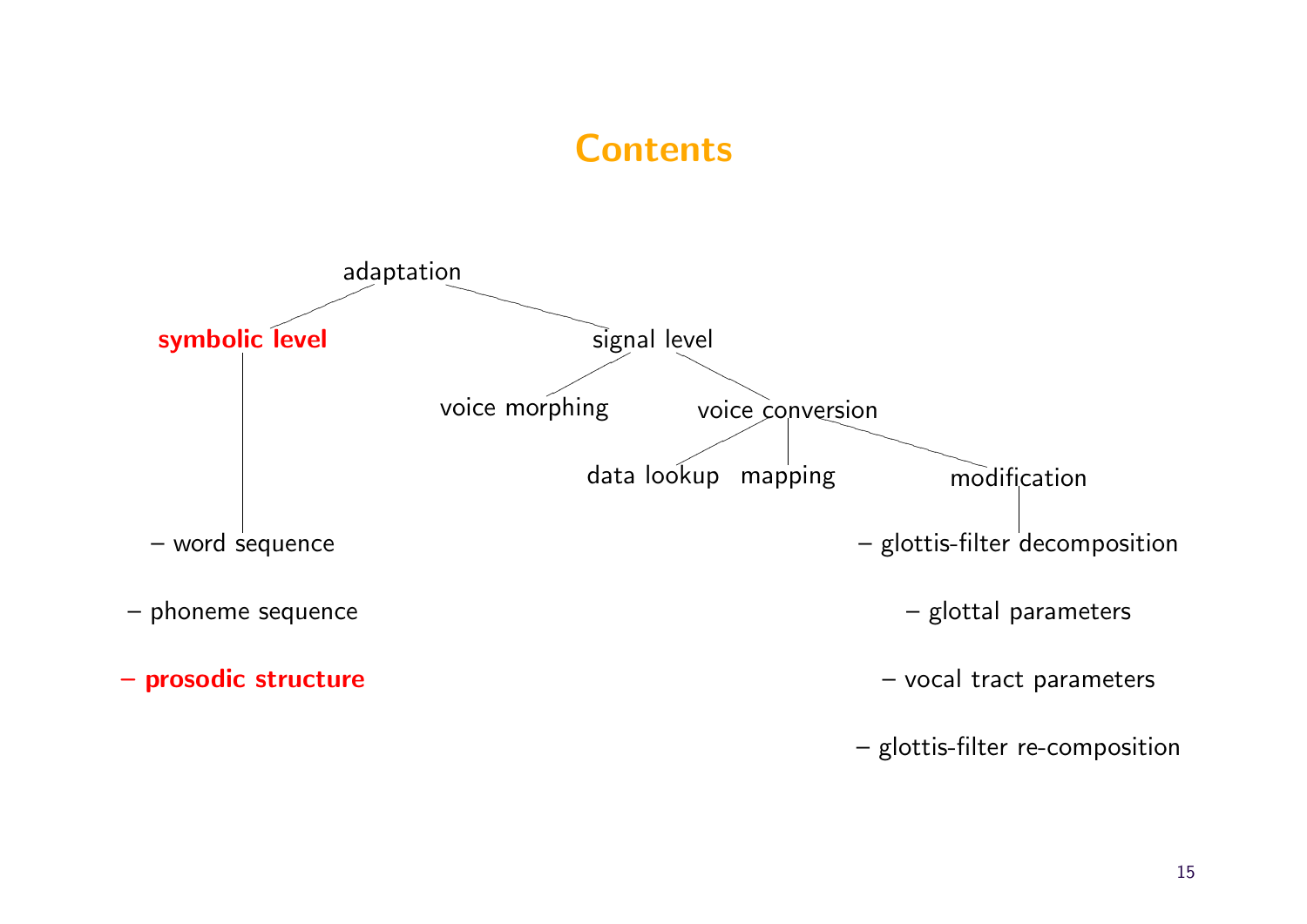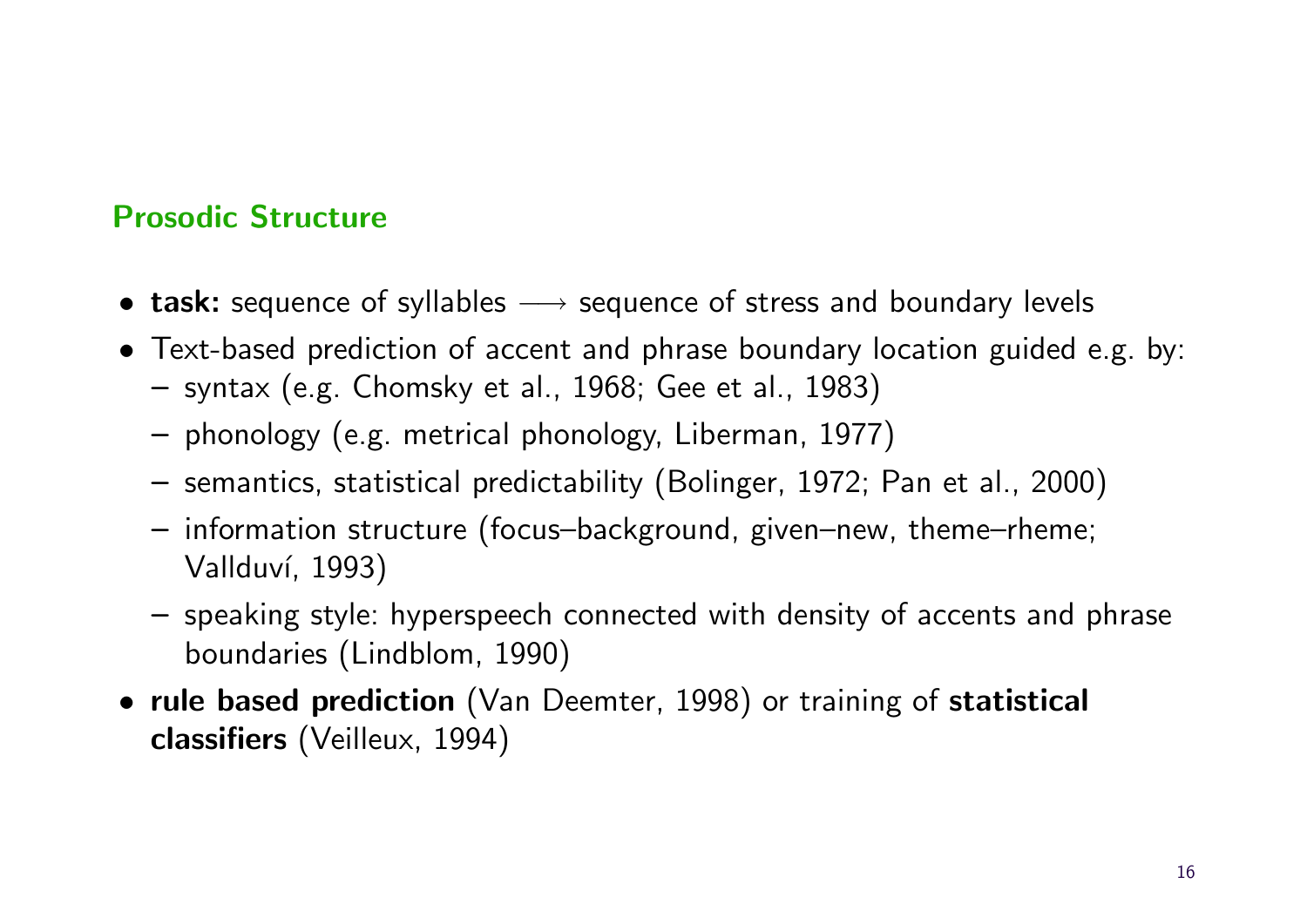#### Prosodic Structure

- task: sequence of syllables  $\longrightarrow$  sequence of stress and boundary levels
- Text-based prediction of accent and phrase boundary location guided e.g. by: – syntax (e.g. Chomsky et al., 1968; Gee et al., 1983)
	- phonology (e.g. metrical phonology, Liberman, 1977)
	- semantics, statistical predictability (Bolinger, 1972; Pan et al., 2000)
	- information structure (focus–background, given–new, theme–rheme; Vallduví, 1993)
	- speaking style: hyperspeech connected with density of accents and phrase boundaries (Lindblom, 1990)
- rule based prediction (Van Deemter, 1998) or training of statistical classifiers (Veilleux, 1994)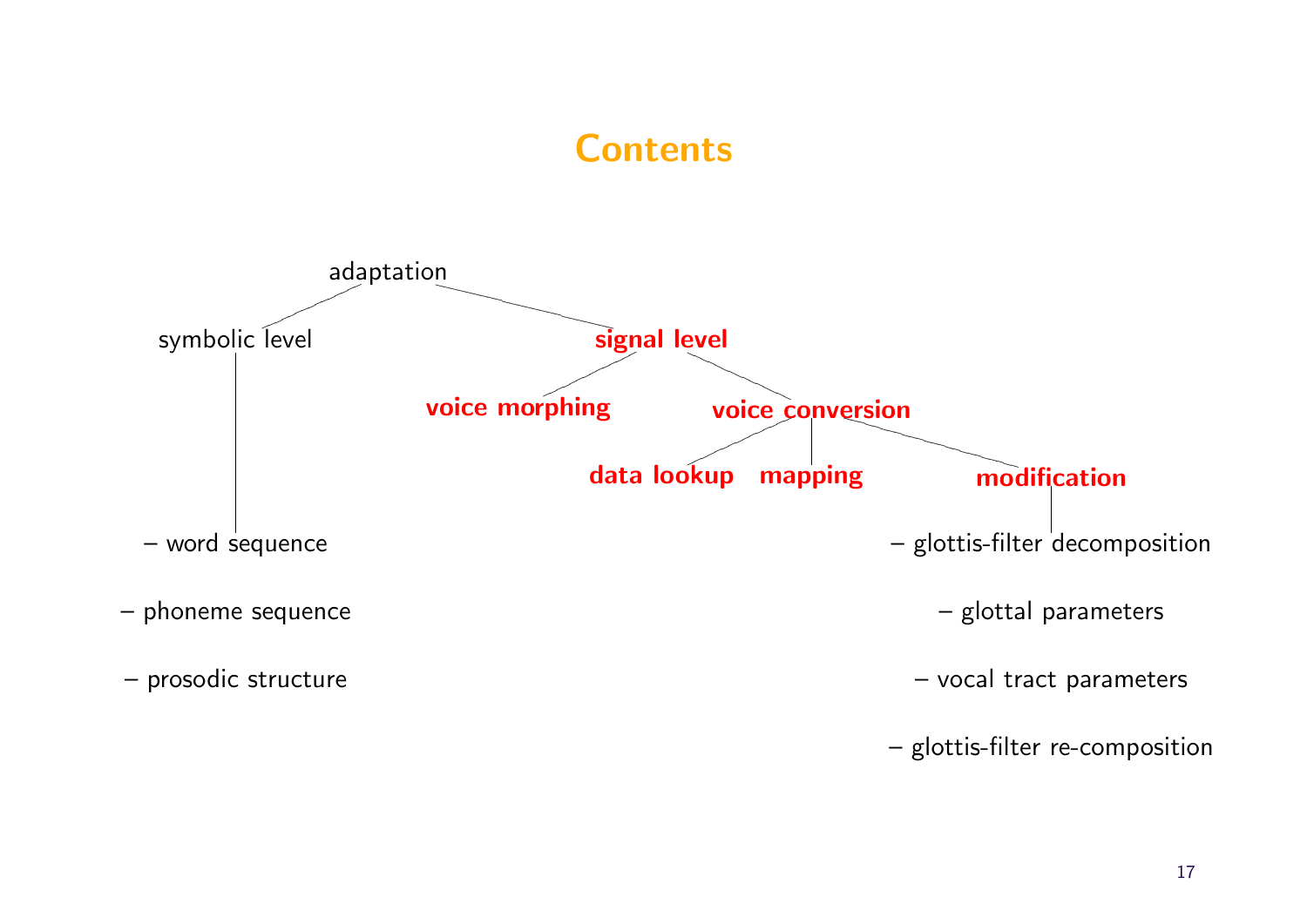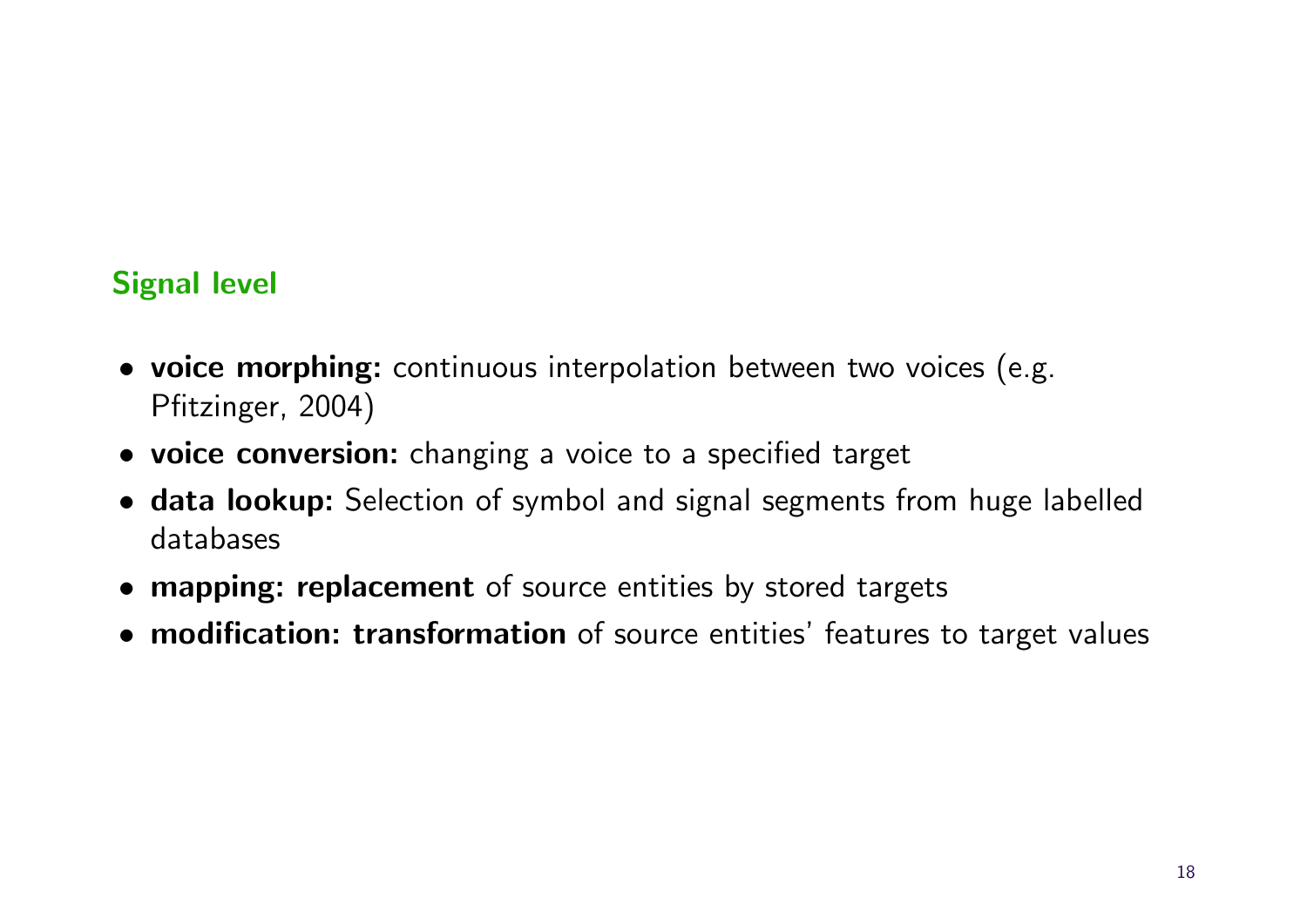#### Signal level

- voice morphing: continuous interpolation between two voices (e.g. Pfitzinger, 2004)
- voice conversion: changing a voice to a specified target
- data lookup: Selection of symbol and signal segments from huge labelled databases
- mapping: replacement of source entities by stored targets
- modification: transformation of source entities' features to target values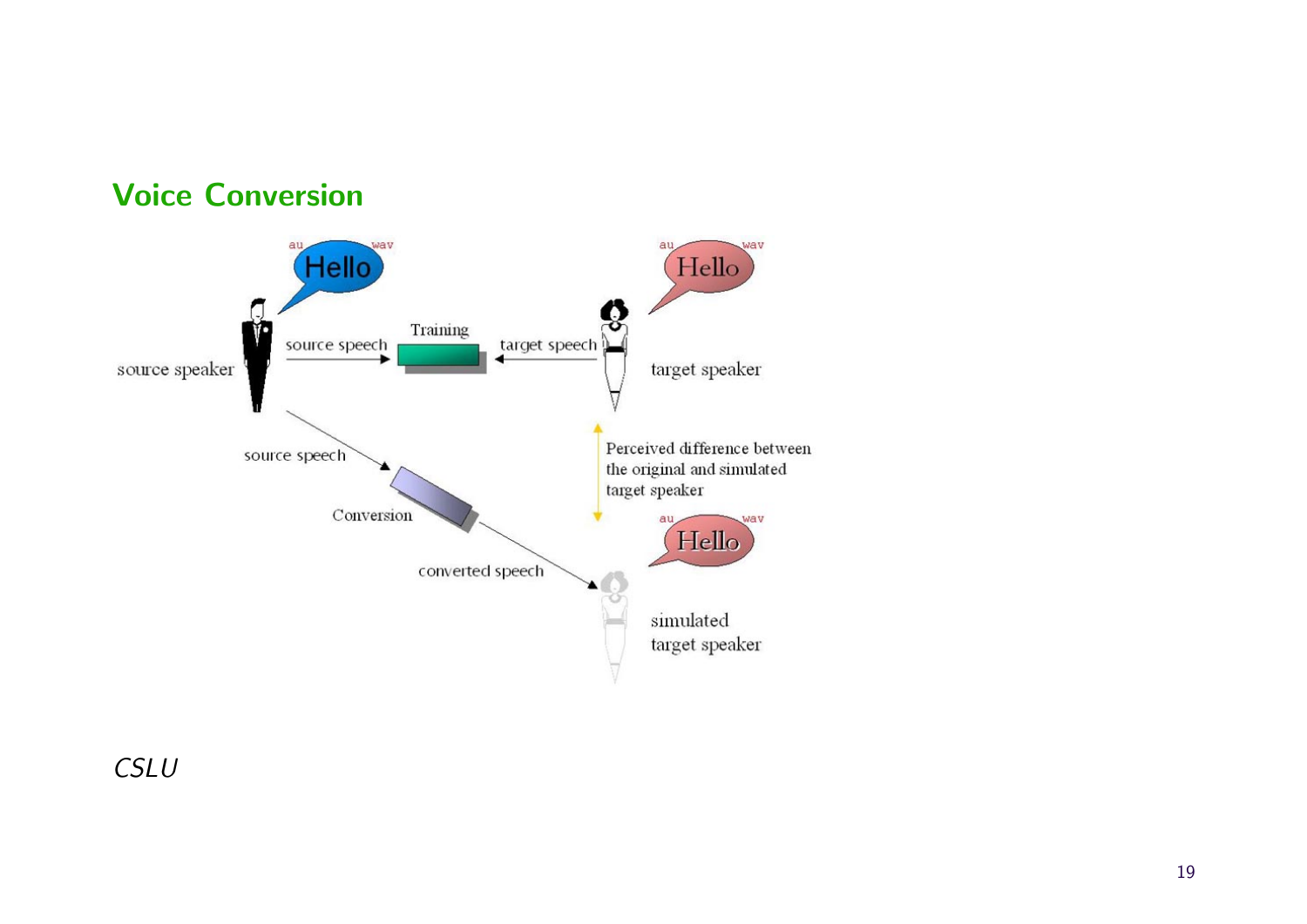

### Voice Conversion

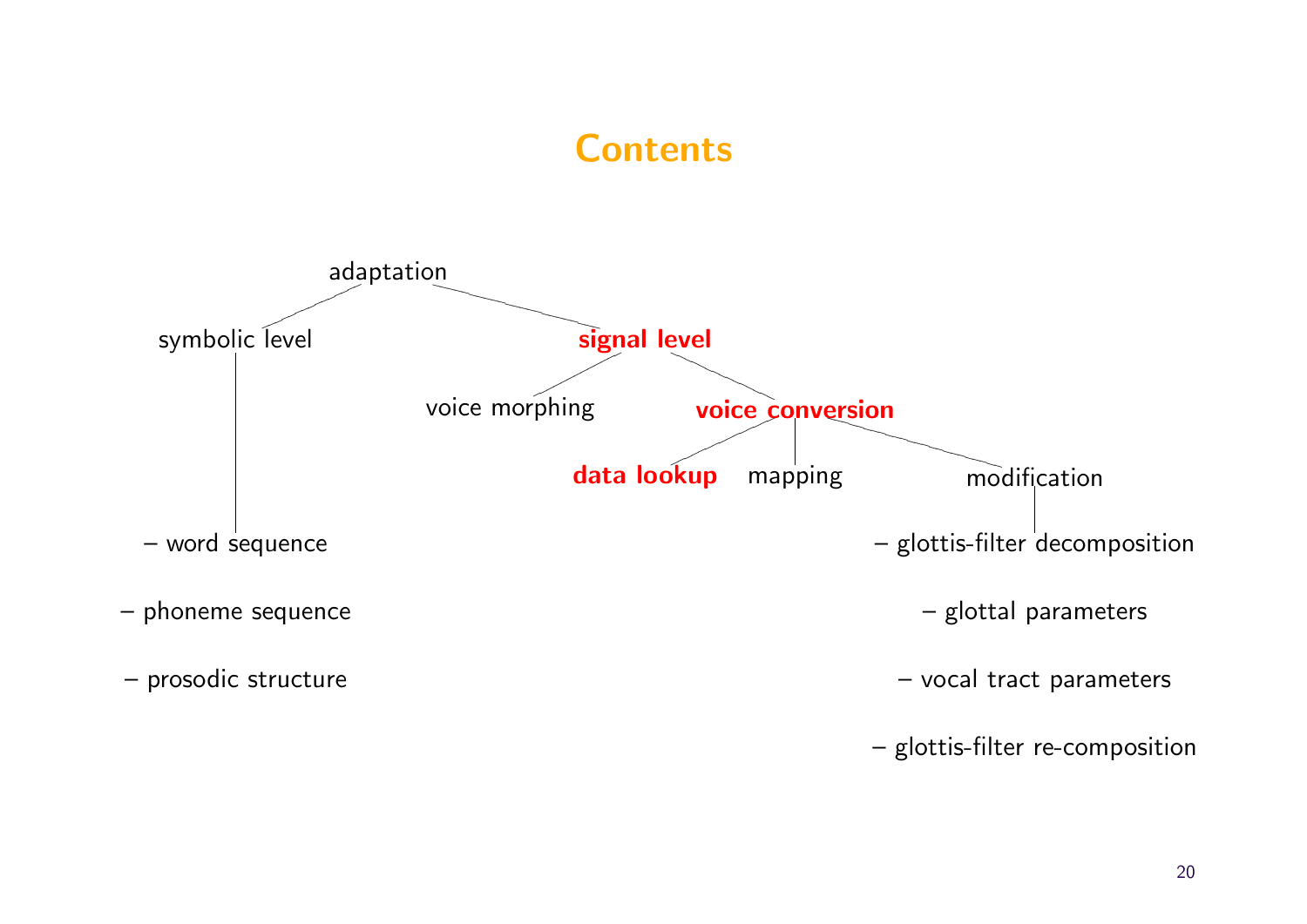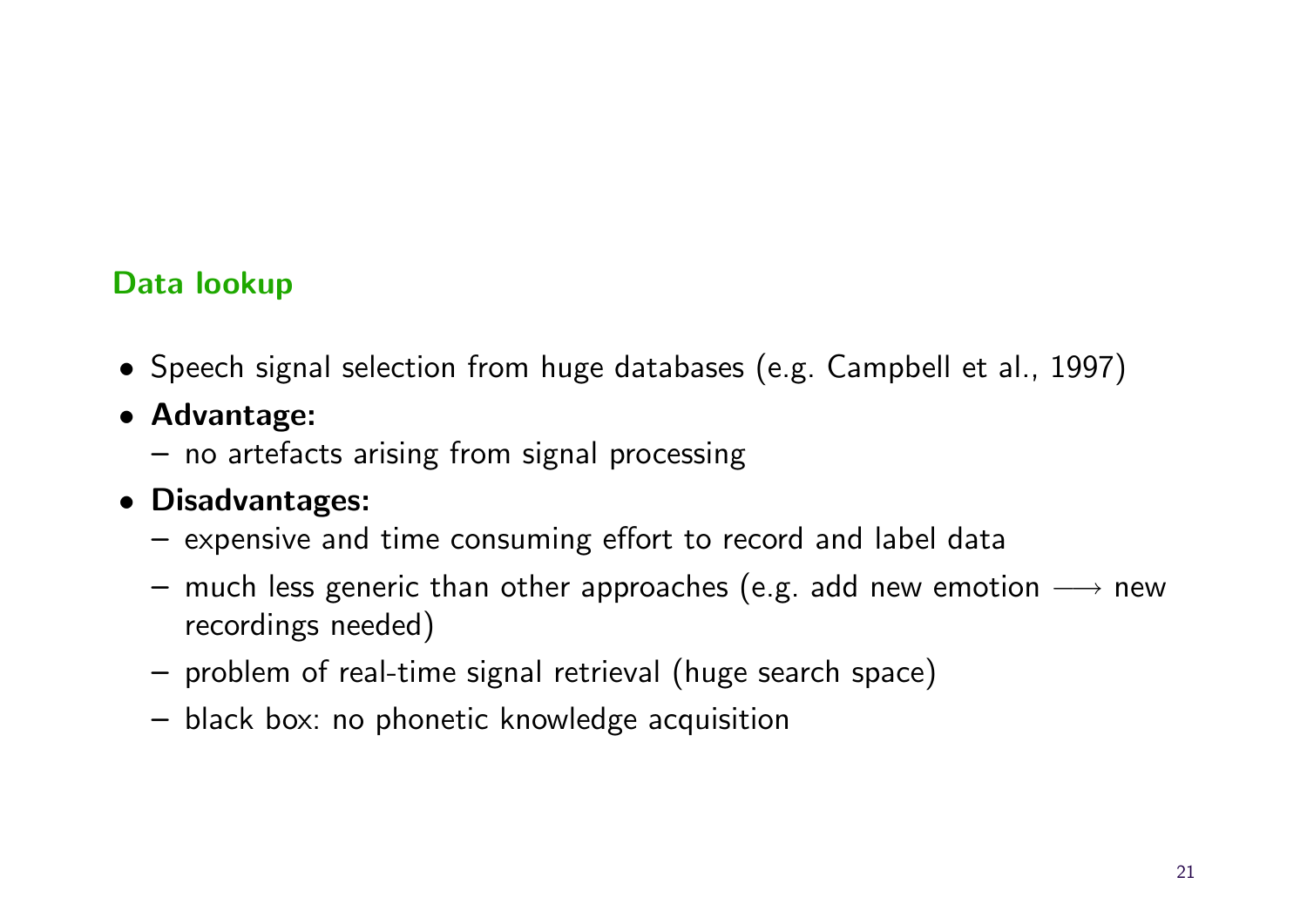#### Data lookup

- Speech signal selection from huge databases (e.g. Campbell et al., 1997)
- Advantage:
	- no artefacts arising from signal processing
- Disadvantages:
	- expensive and time consuming effort to record and label data
	- much less generic than other approaches (e.g. add new emotion  $\longrightarrow$  new recordings needed)
	- problem of real-time signal retrieval (huge search space)
	- black box: no phonetic knowledge acquisition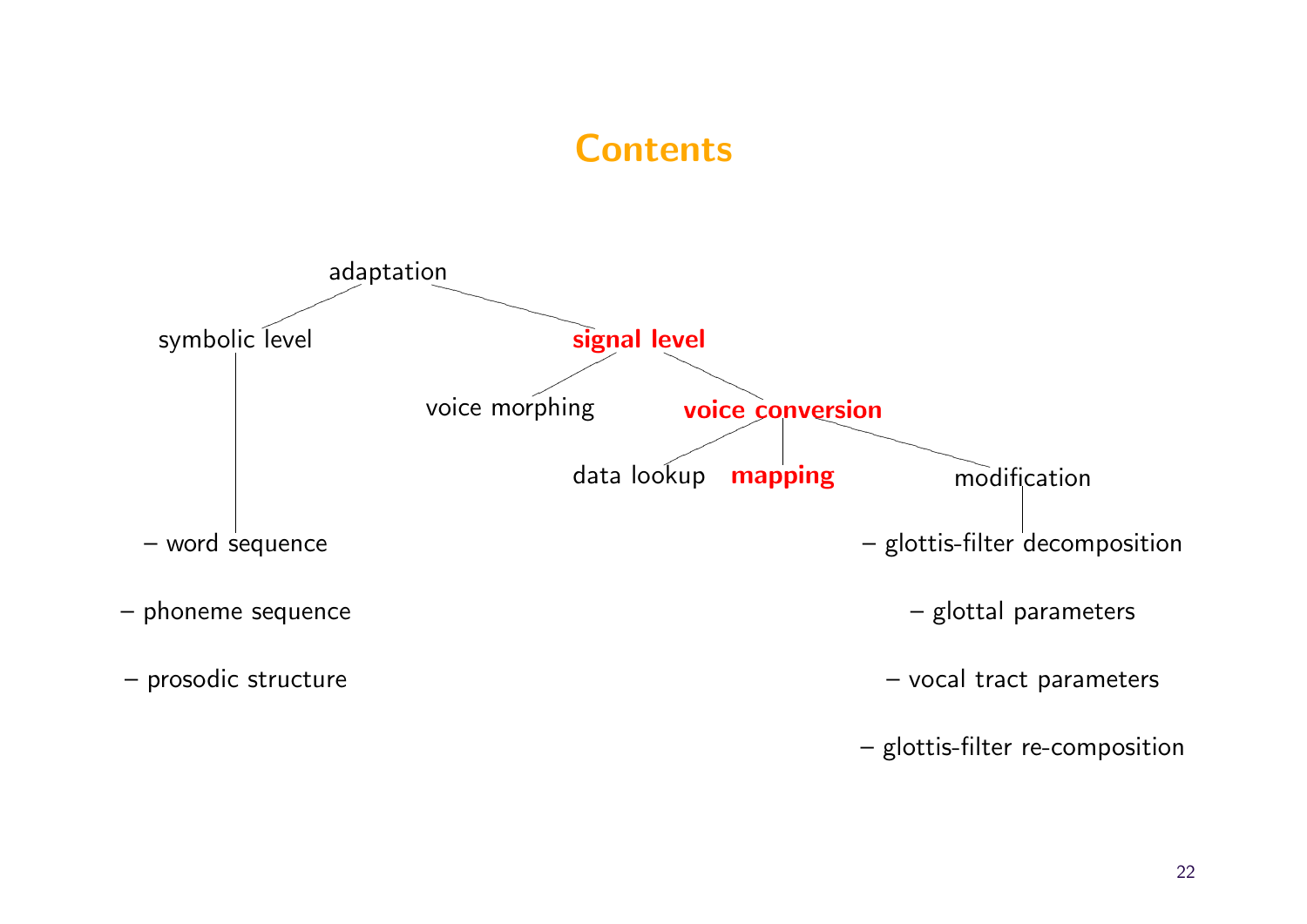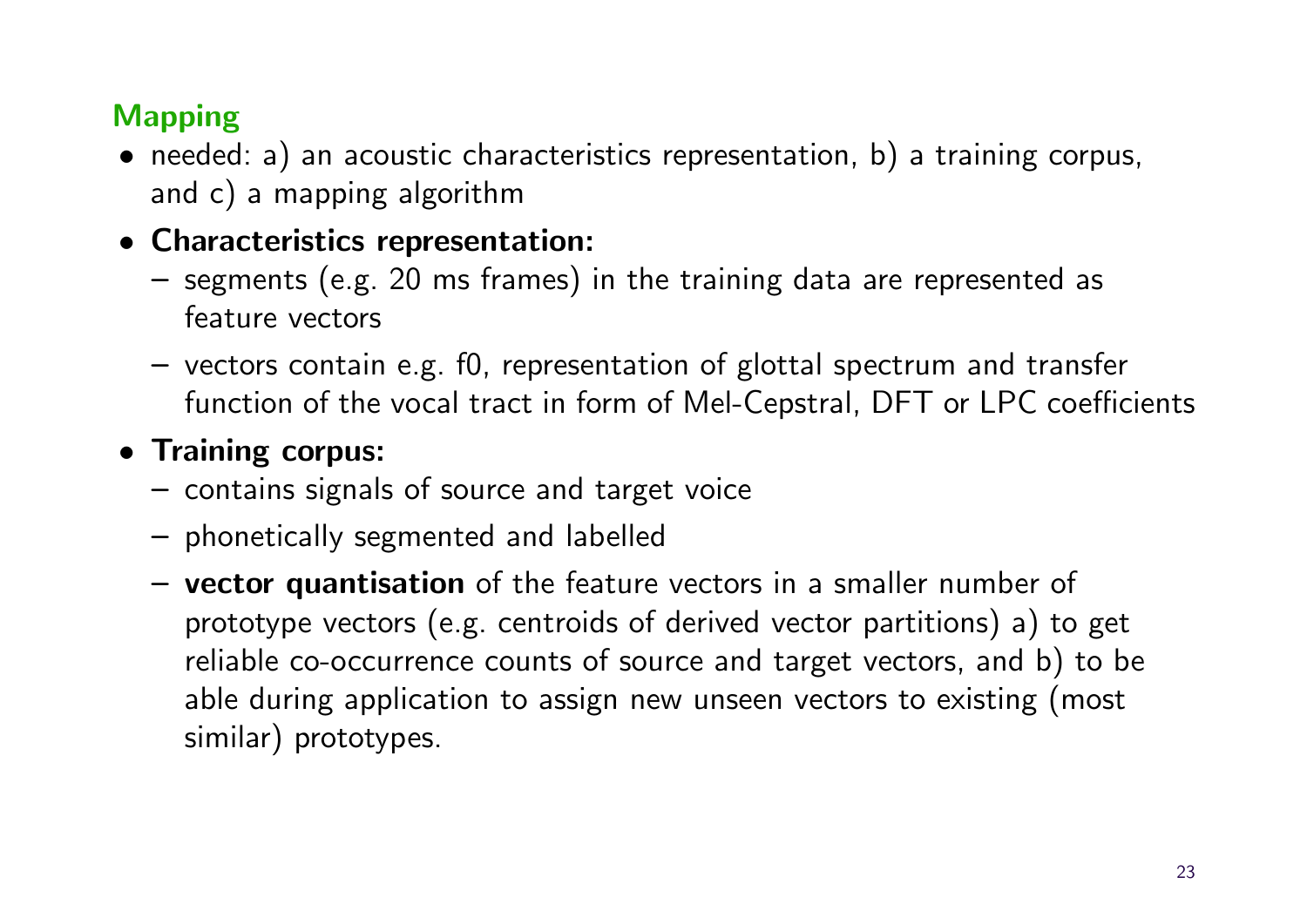# Mapping

• needed: a) an acoustic characteristics representation, b) a training corpus, and c) a mapping algorithm

#### • Characteristics representation:

- segments (e.g. 20 ms frames) in the training data are represented as feature vectors
- vectors contain e.g. f0, representation of glottal spectrum and transfer function of the vocal tract in form of Mel-Cepstral, DFT or LPC coefficients

### • Training corpus:

- contains signals of source and target voice
- phonetically segmented and labelled
- vector quantisation of the feature vectors in a smaller number of prototype vectors (e.g. centroids of derived vector partitions) a) to get reliable co-occurrence counts of source and target vectors, and b) to be able during application to assign new unseen vectors to existing (most similar) prototypes.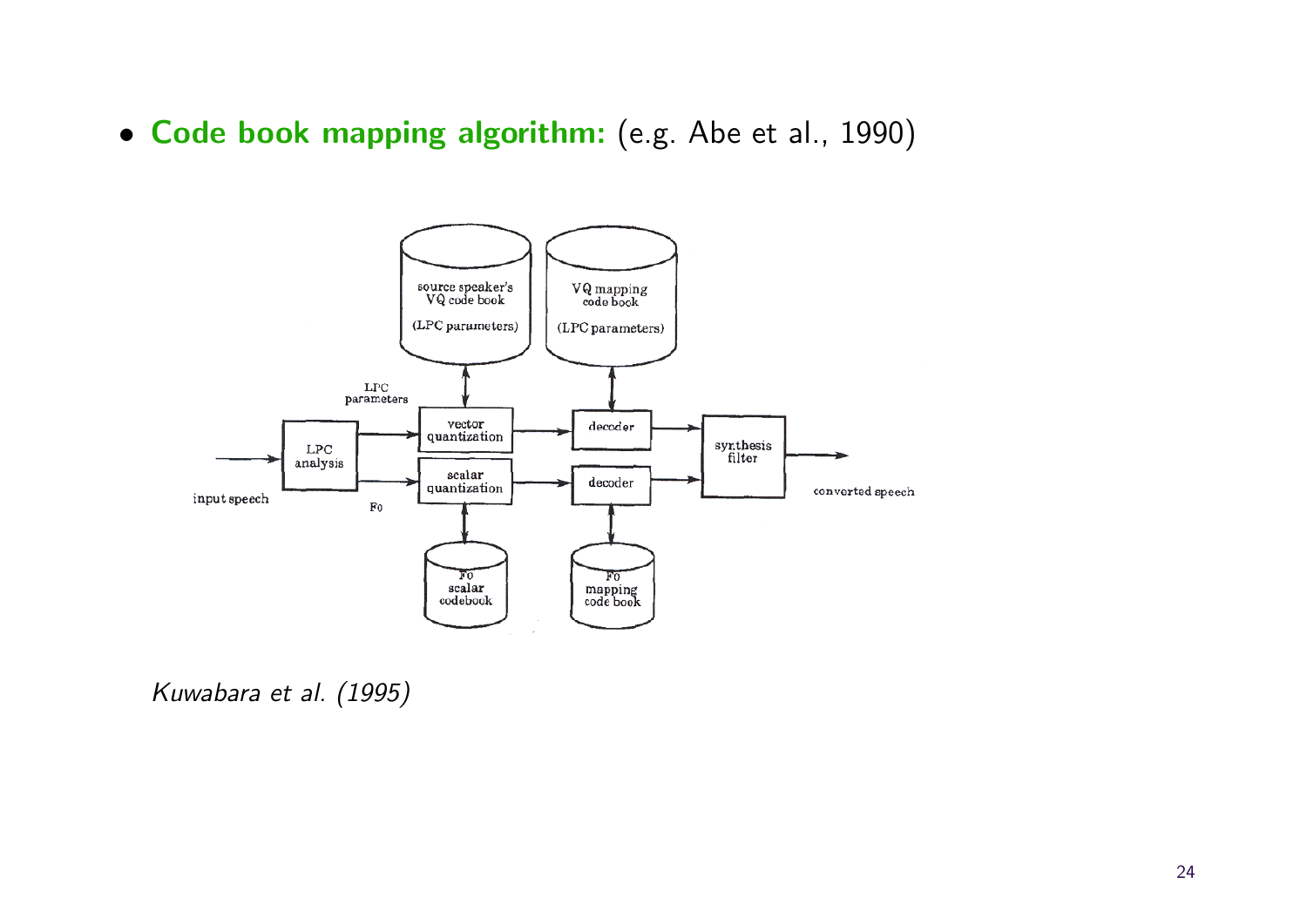• Code book mapping algorithm: (e.g. Abe et al., 1990)



Kuwabara et al. (1995)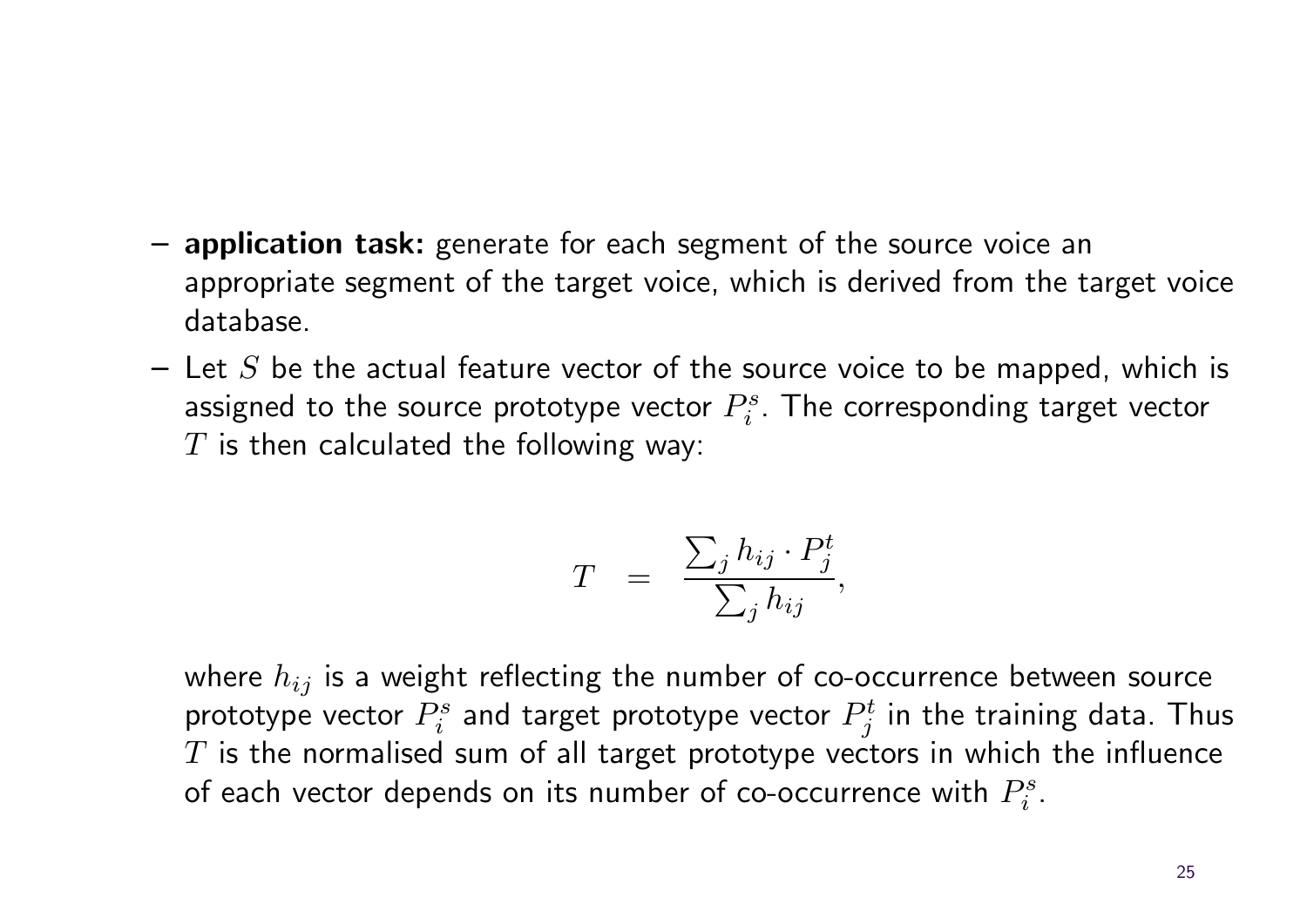- application task: generate for each segment of the source voice an appropriate segment of the target voice, which is derived from the target voice database.
- $-$  Let S be the actual feature vector of the source voice to be mapped, which is assigned to the source prototype vector  $P_i^s$  $P_i^s$ . The corresponding target vector  $T$  is then calculated the following way:

$$
T = \frac{\sum_j h_{ij} \cdot P_j^t}{\sum_j h_{ij}},
$$

where  $h_{ij}$  is a weight reflecting the number of co-occurrence between source prototype vector  $P_i^s$  $P_i^s$  and target prototype vector  $P_j^t$  $y_j^t$  in the training data. Thus  $T$  is the normalised sum of all target prototype vectors in which the influence of each vector depends on its number of co-occurrence with  $P_i^s$  $\frac{is}{i}$  .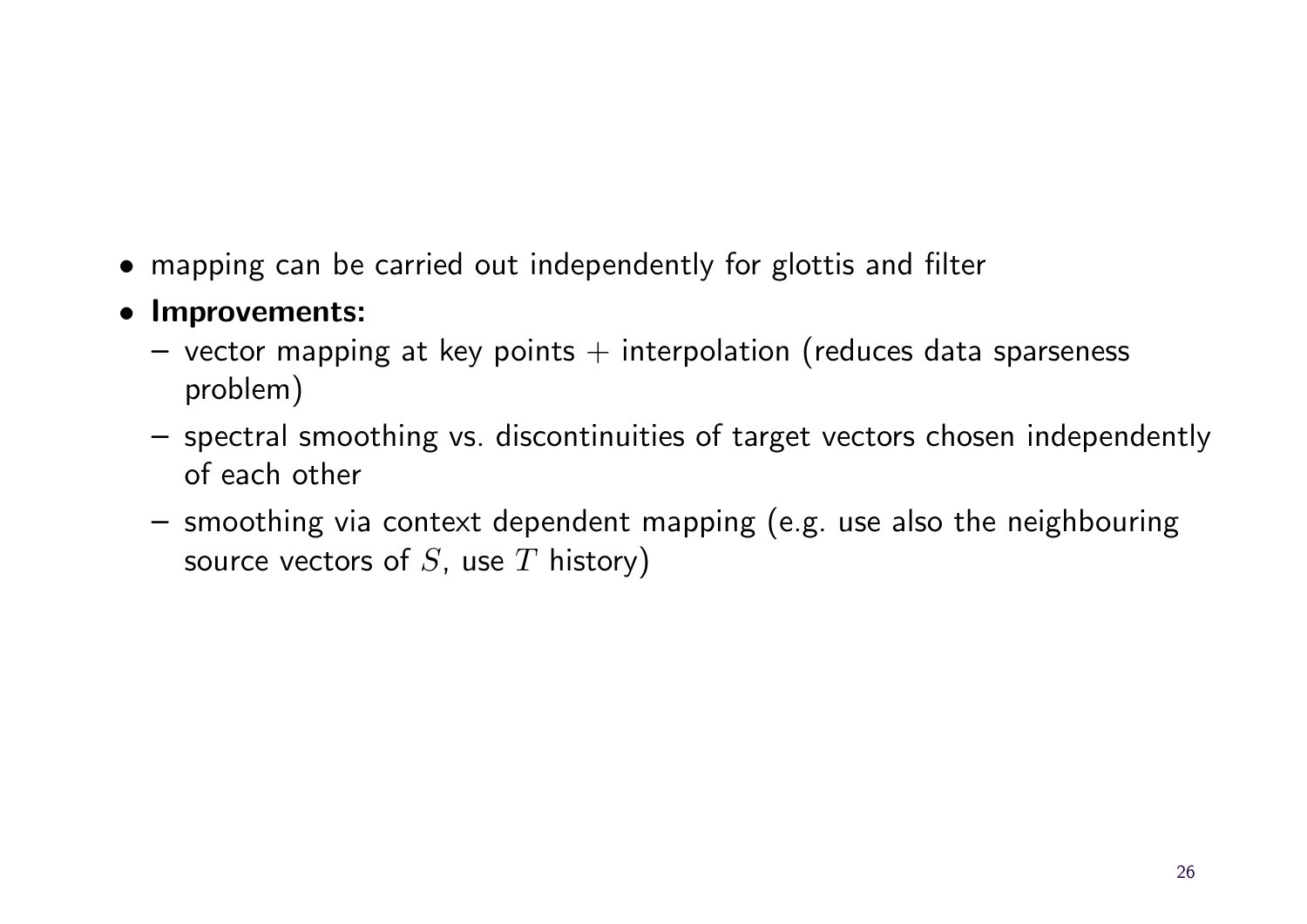- mapping can be carried out independently for glottis and filter
- Improvements:
	- $-$  vector mapping at key points  $+$  interpolation (reduces data sparseness problem)
	- spectral smoothing vs. discontinuities of target vectors chosen independently of each other
	- smoothing via context dependent mapping (e.g. use also the neighbouring source vectors of  $S$ , use  $T$  history)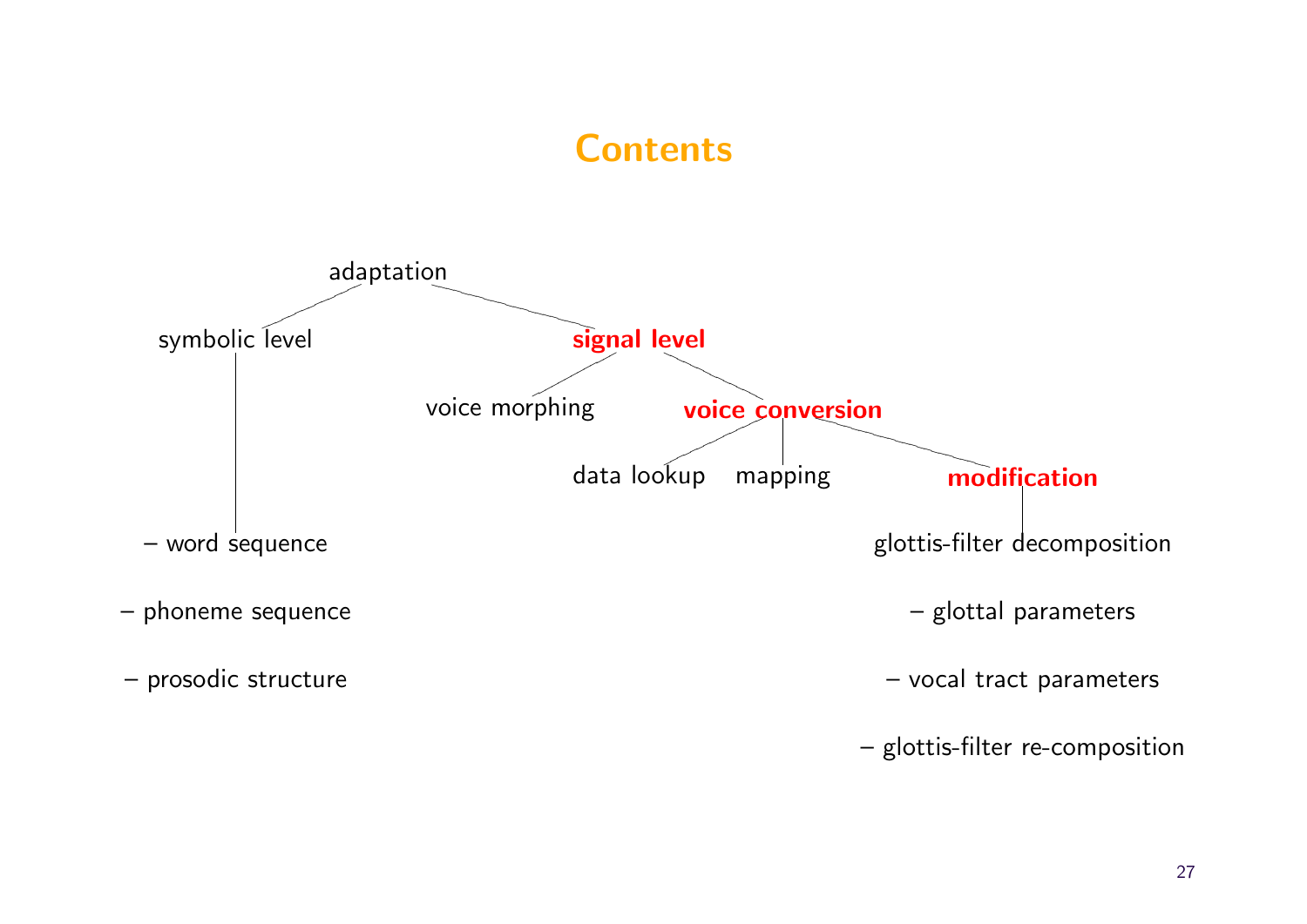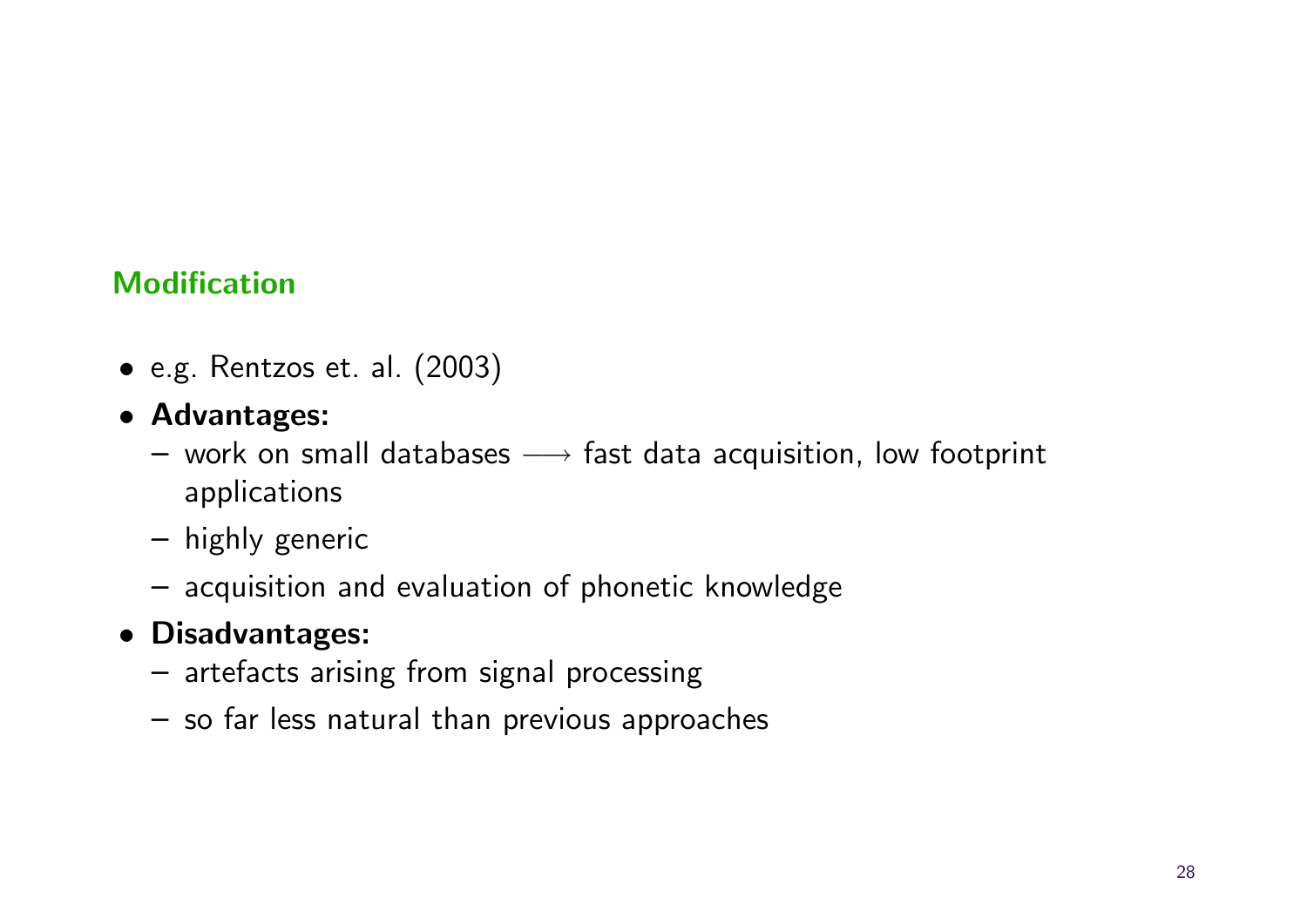#### Modification

- e.g. Rentzos et. al. (2003)
- Advantages:
	- $-$  work on small databases  $\longrightarrow$  fast data acquisition, low footprint applications
	- highly generic
	- acquisition and evaluation of phonetic knowledge
- Disadvantages:
	- artefacts arising from signal processing
	- so far less natural than previous approaches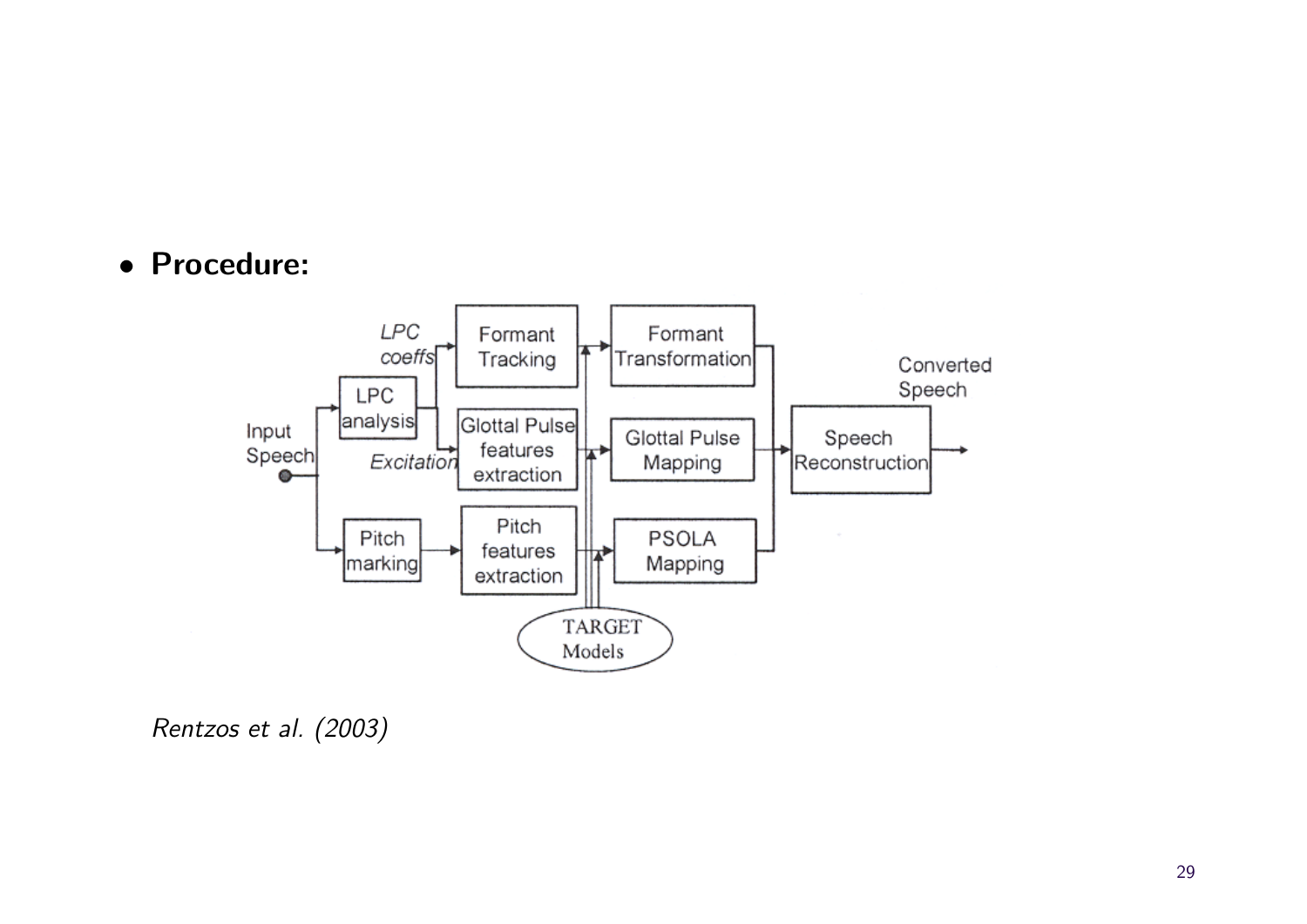• Procedure:



Rentzos et al. (2003)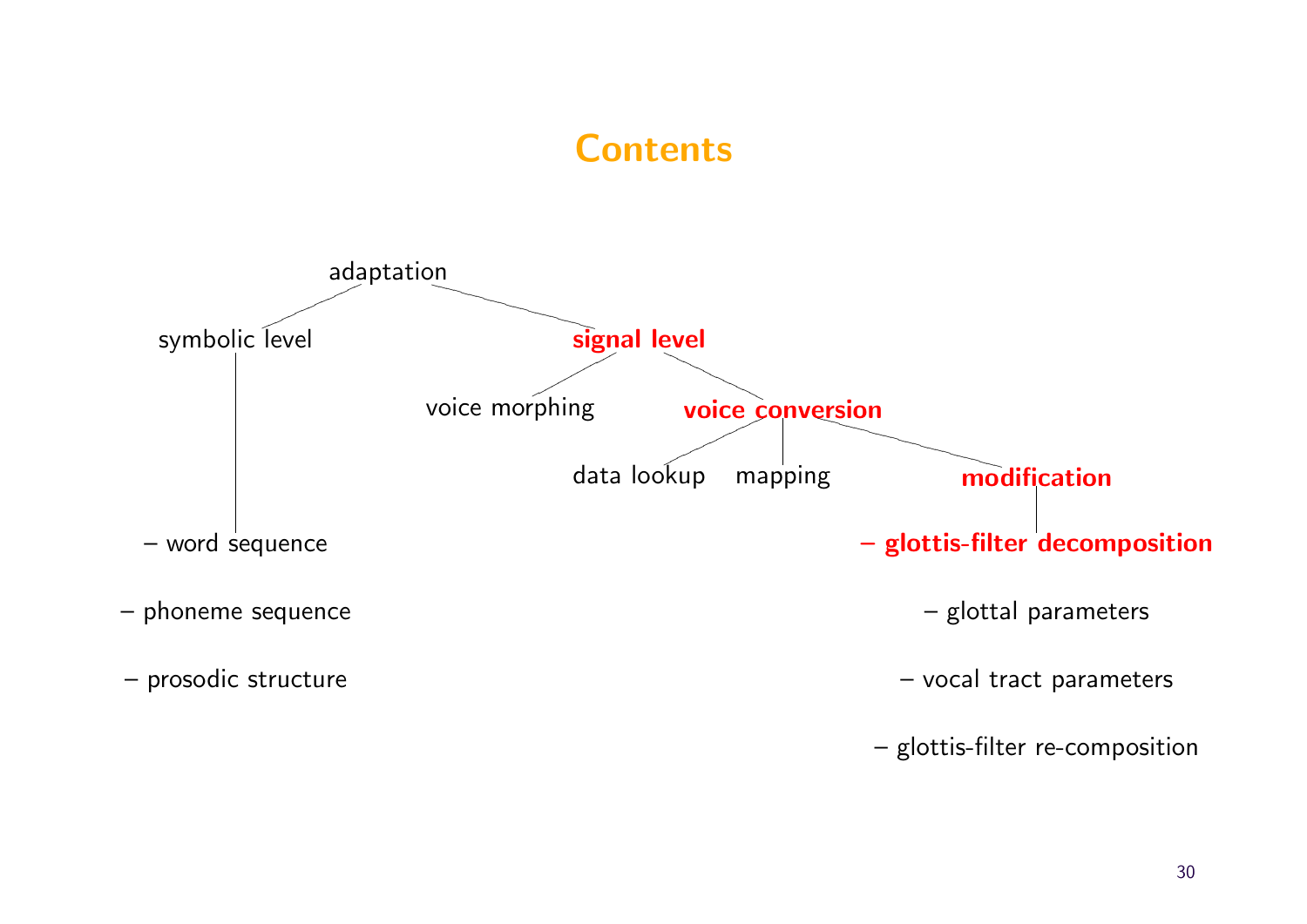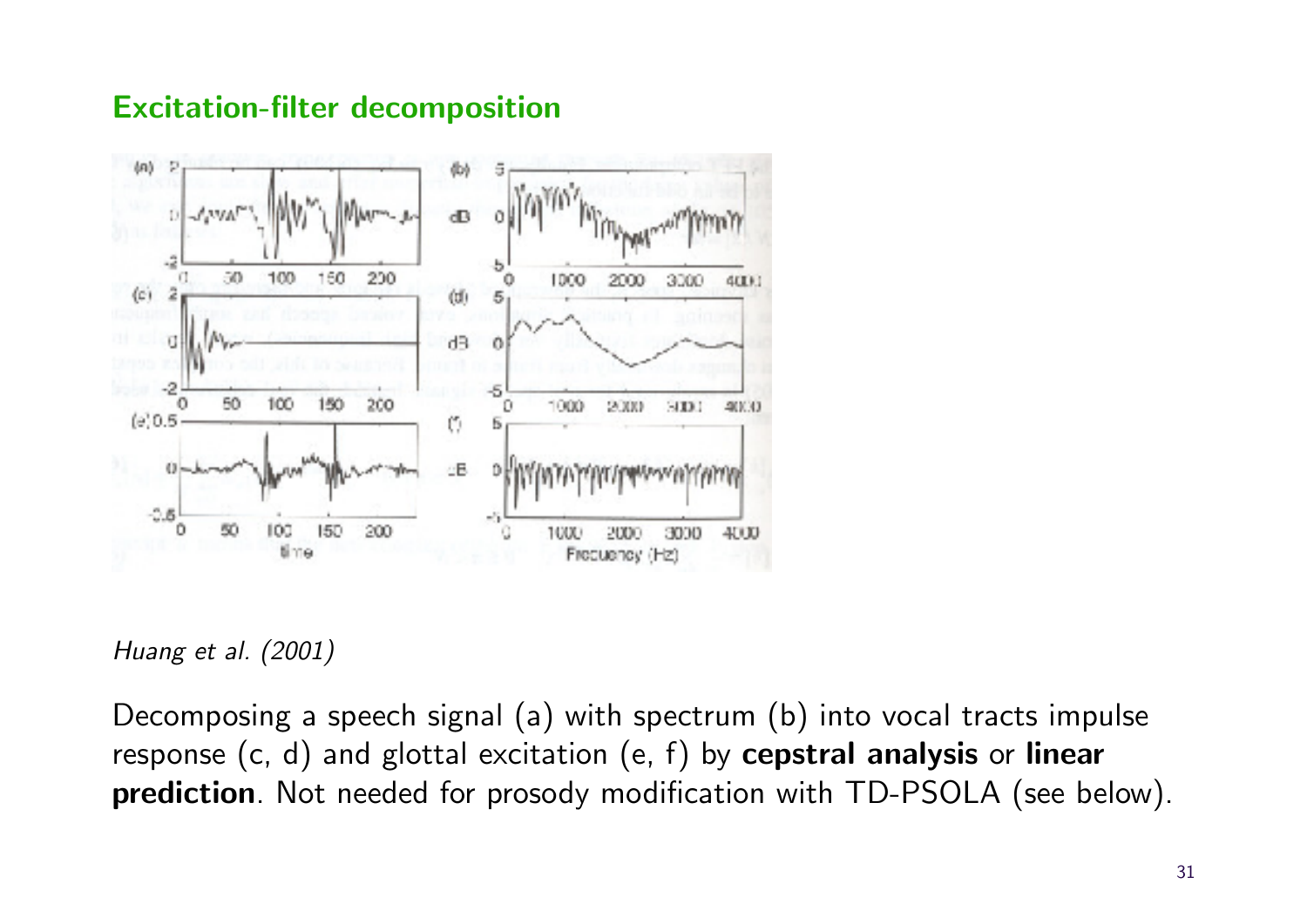#### Excitation-filter decomposition



Huang et al. (2001)

Decomposing a speech signal (a) with spectrum (b) into vocal tracts impulse response  $(c, d)$  and glottal excitation  $(e, f)$  by cepstral analysis or linear prediction. Not needed for prosody modification with TD-PSOLA (see below).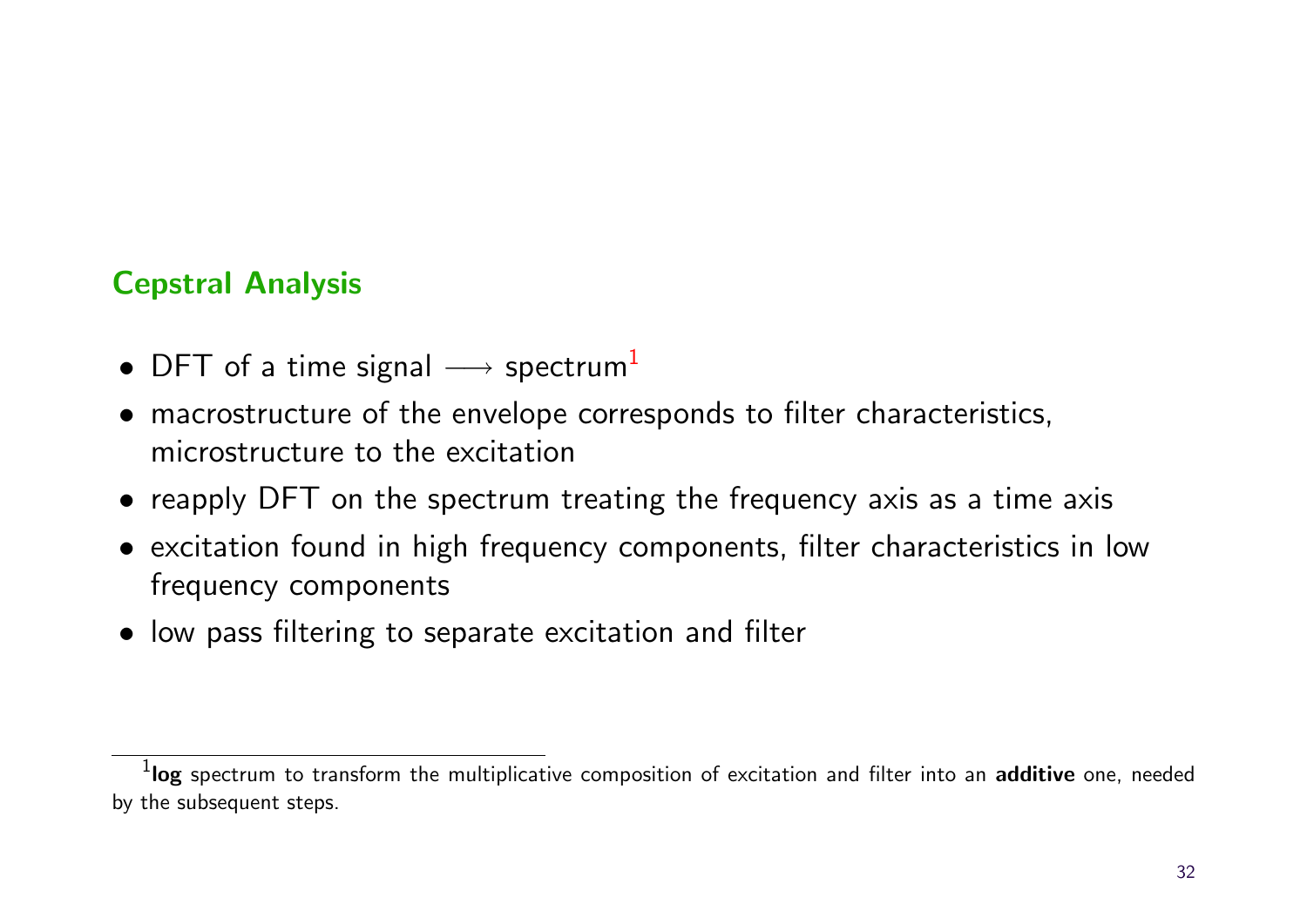#### Cepstral Analysis

- DFT of a time signal  $\longrightarrow$  spectrum<sup>[1](#page-32-0)</sup>
- macrostructure of the envelope corresponds to filter characteristics, microstructure to the excitation
- reapply DFT on the spectrum treating the frequency axis as a time axis
- excitation found in high frequency components, filter characteristics in low frequency components
- low pass filtering to separate excitation and filter

<span id="page-32-0"></span> $^{\rm 1}$ log spectrum to transform the multiplicative composition of excitation and filter into an additive one, needed by the subsequent steps.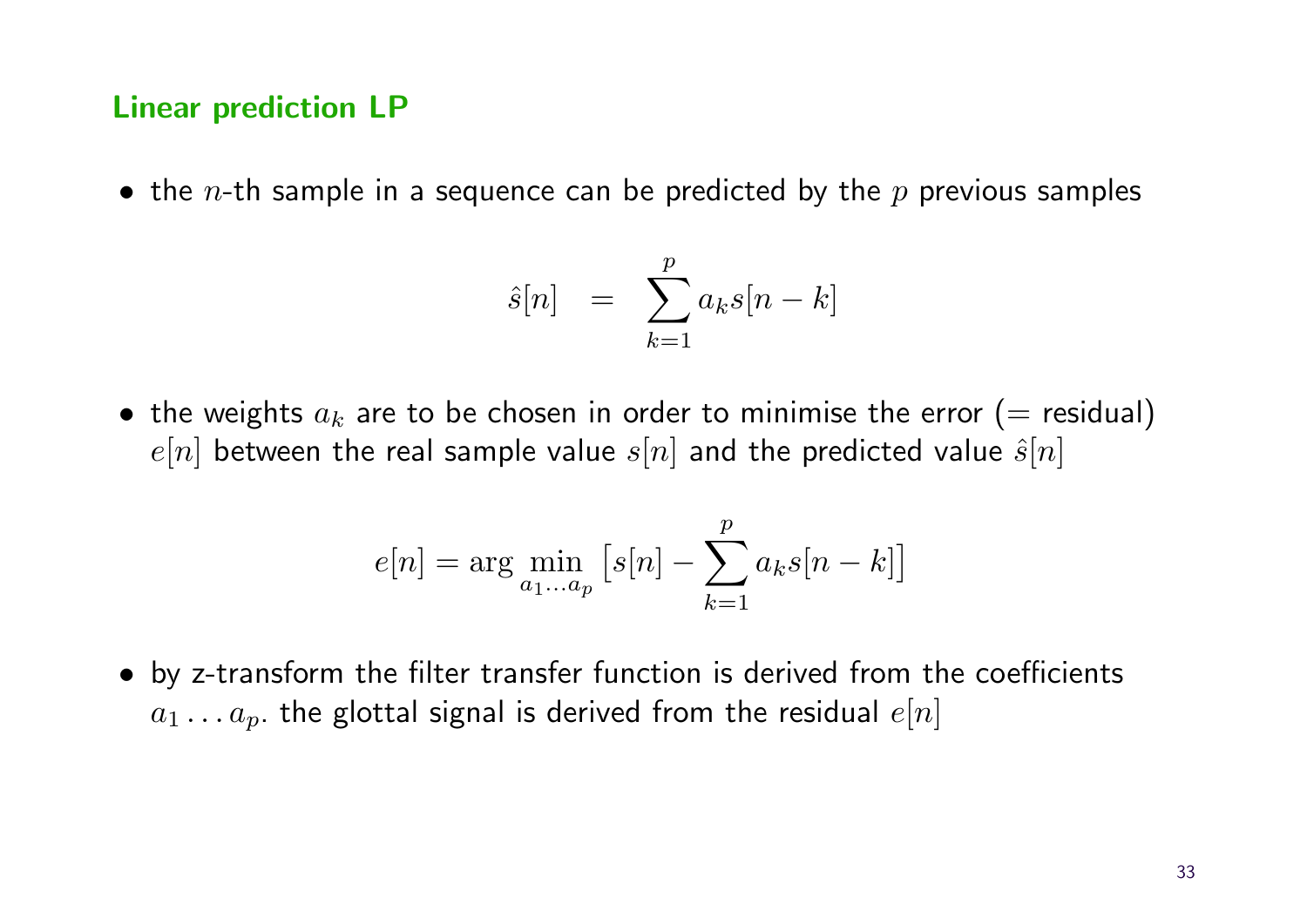#### Linear prediction LP

• the *n*-th sample in a sequence can be predicted by the  $p$  previous samples

$$
\hat{s}[n] = \sum_{k=1}^{p} a_k s[n-k]
$$

• the weights  $a_k$  are to be chosen in order to minimise the error (= residual)  $e[n]$  between the real sample value  $s[n]$  and the predicted value  $\hat{s}[n]$ 

$$
e[n] = \arg\min_{a_1...a_p} \left[ s[n] - \sum_{k=1}^p a_k s[n-k] \right]
$$

• by z-transform the filter transfer function is derived from the coefficients  $a_1 \ldots a_p$  the glottal signal is derived from the residual  $e[n]$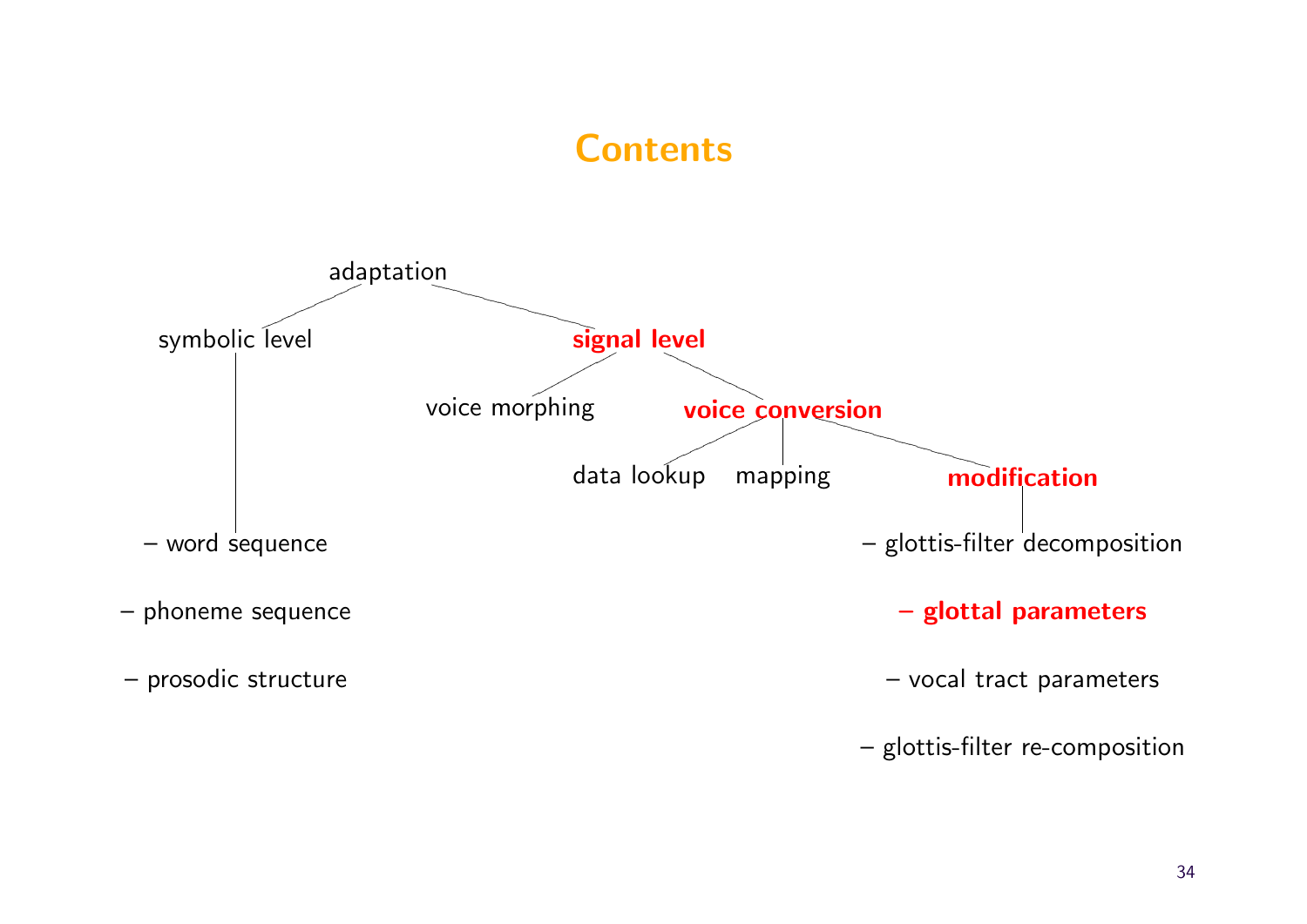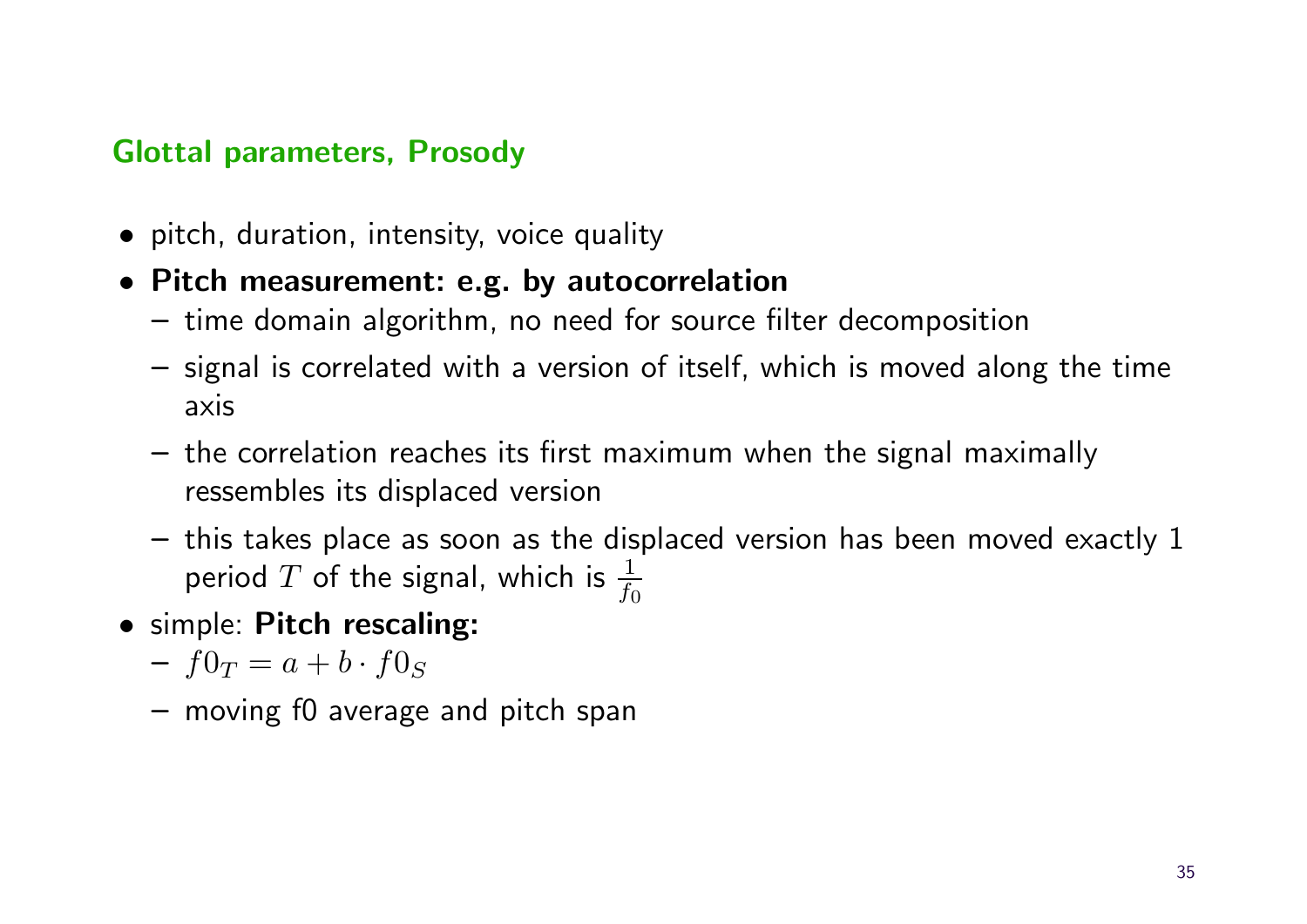#### Glottal parameters, Prosody

- pitch, duration, intensity, voice quality
- Pitch measurement: e.g. by autocorrelation
	- time domain algorithm, no need for source filter decomposition
	- signal is correlated with a version of itself, which is moved along the time axis
	- the correlation reaches its first maximum when the signal maximally ressembles its displaced version
	- this takes place as soon as the displaced version has been moved exactly 1 period  $T$  of the signal, which is  $\frac{1}{f_c}$  $f_0$
- simple: Pitch rescaling:
	- $f0_T = a + b \cdot f0_S$
	- moving f0 average and pitch span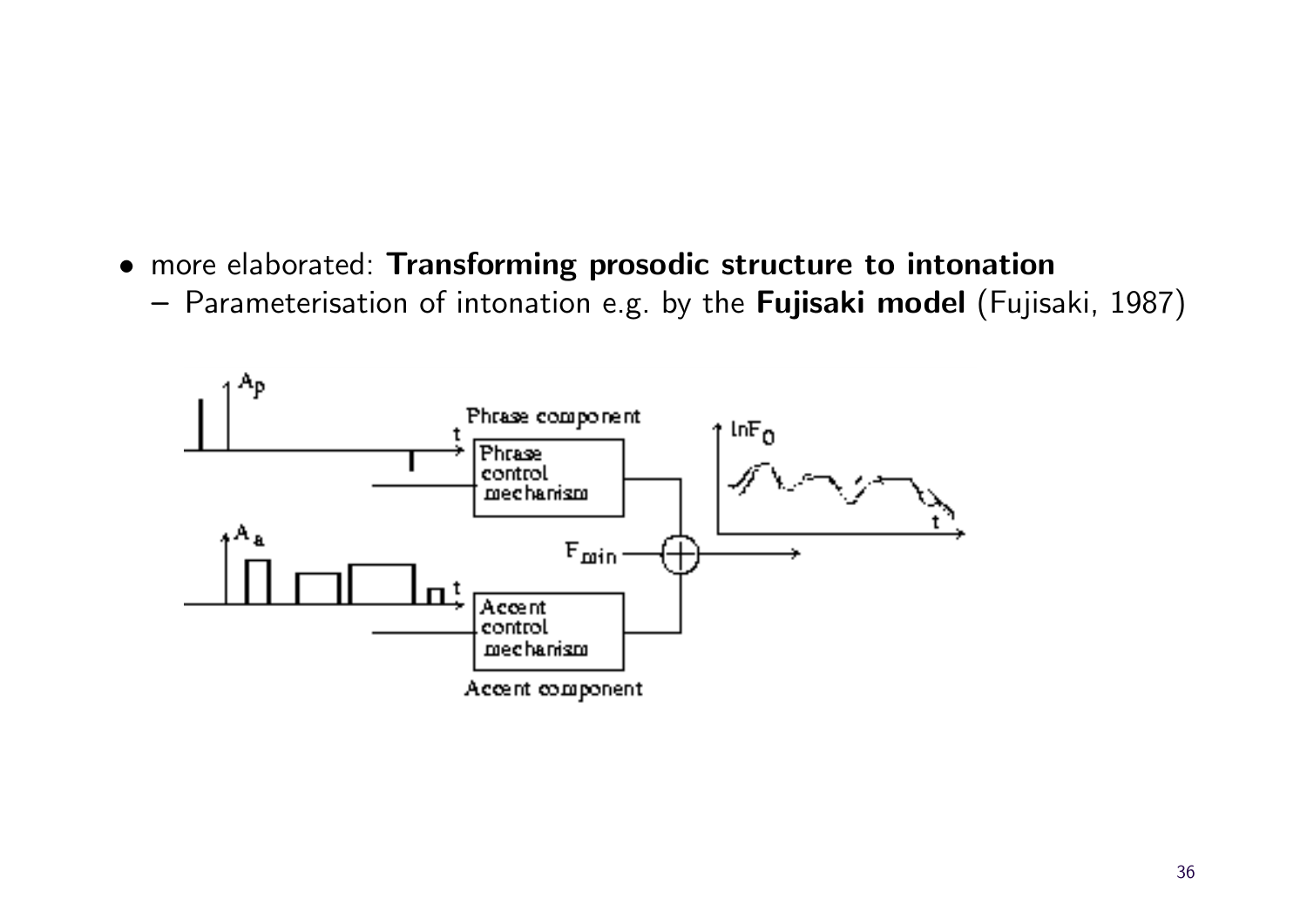- more elaborated: Transforming prosodic structure to intonation
	- Parameterisation of intonation e.g. by the Fujisaki model (Fujisaki, 1987)

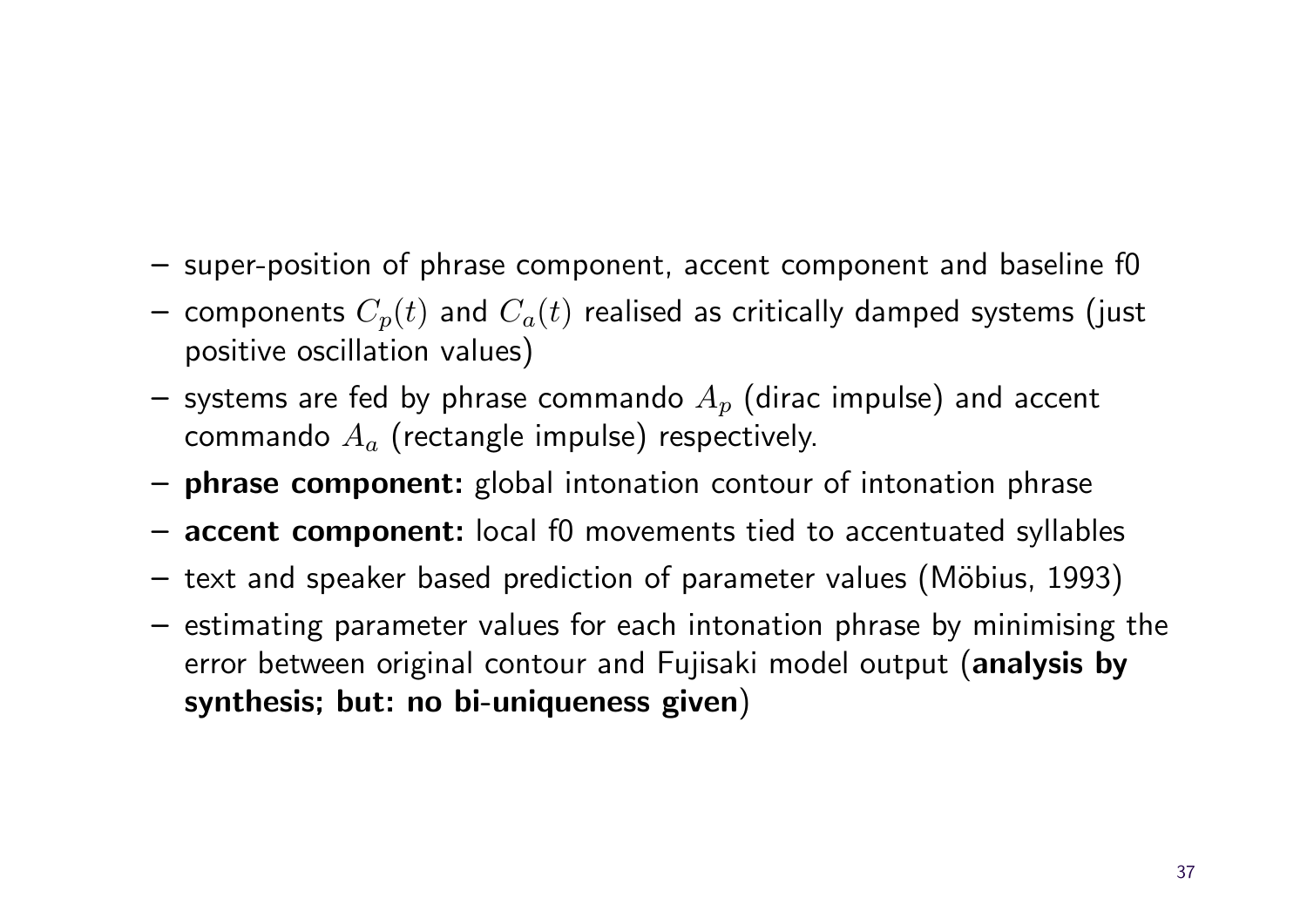- super-position of phrase component, accent component and baseline f0
- components  $C_p(t)$  and  $C_a(t)$  realised as critically damped systems (just positive oscillation values)
- systems are fed by phrase commando  $A_p$  (dirac impulse) and accent commando  $A_a$  (rectangle impulse) respectively.
- phrase component: global intonation contour of intonation phrase
- accent component: local f0 movements tied to accentuated syllables
- $-$  text and speaker based prediction of parameter values (Möbius, 1993)
- estimating parameter values for each intonation phrase by minimising the error between original contour and Fujisaki model output (analysis by synthesis; but: no bi-uniqueness given)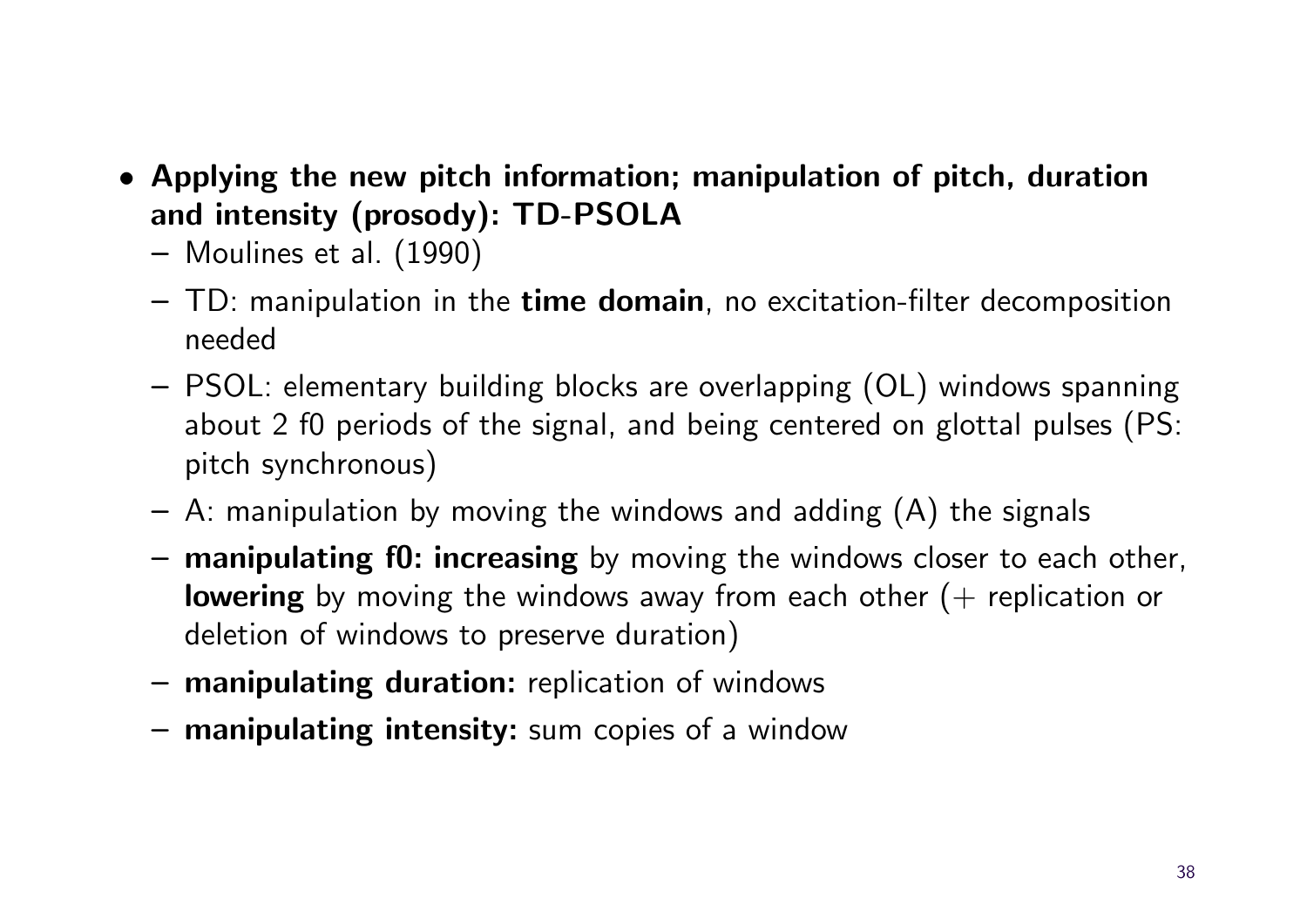- Applying the new pitch information; manipulation of pitch, duration and intensity (prosody): TD-PSOLA
	- Moulines et al. (1990)
	- $-$  TD: manipulation in the time domain, no excitation-filter decomposition needed
	- PSOL: elementary building blocks are overlapping (OL) windows spanning about 2 f0 periods of the signal, and being centered on glottal pulses (PS: pitch synchronous)
	- $-$  A: manipulation by moving the windows and adding  $(A)$  the signals
	- manipulating f0: increasing by moving the windows closer to each other, **lowering** by moving the windows away from each other  $(+)$  replication or deletion of windows to preserve duration)
	- manipulating duration: replication of windows
	- manipulating intensity: sum copies of a window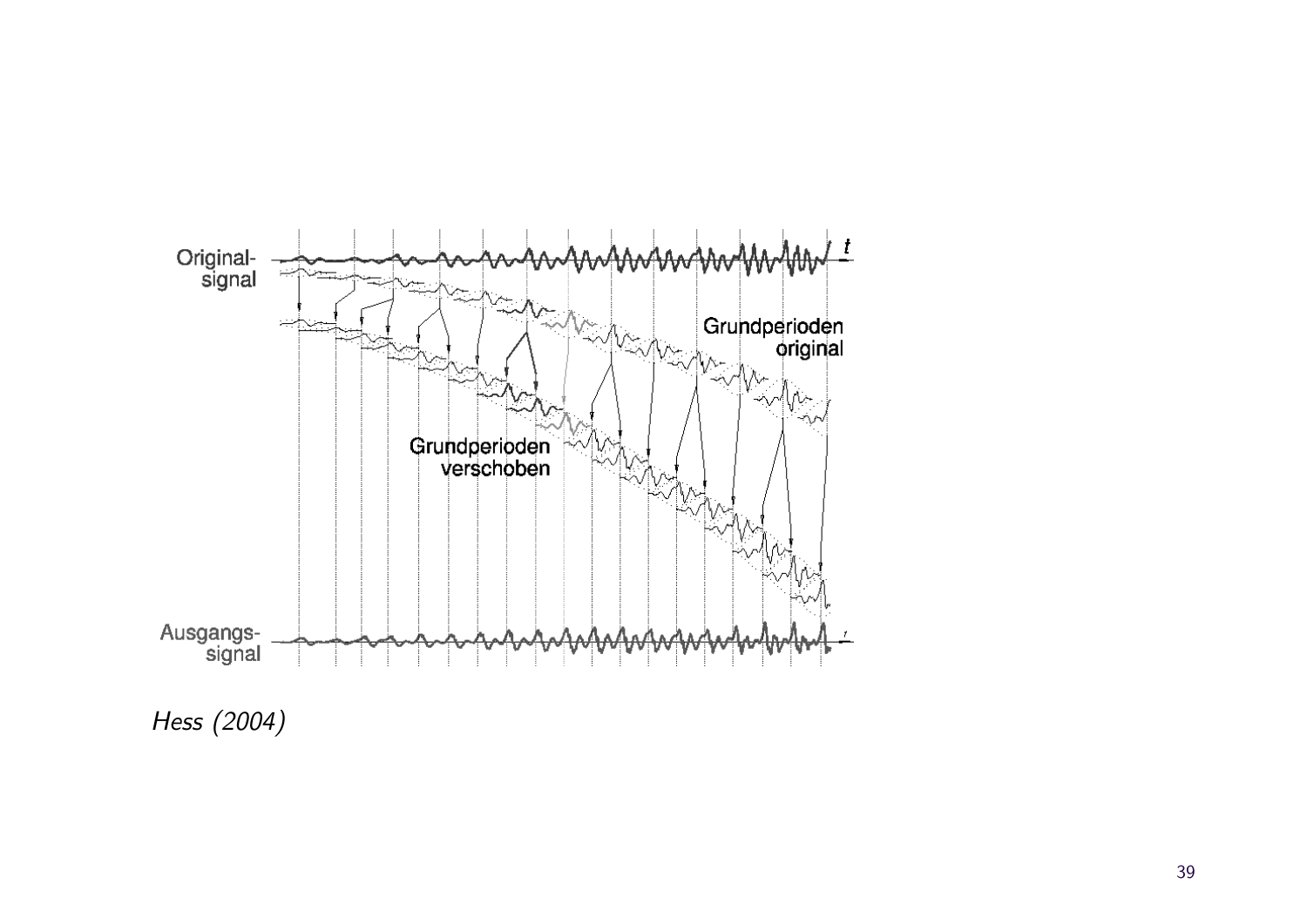

Hess (2004)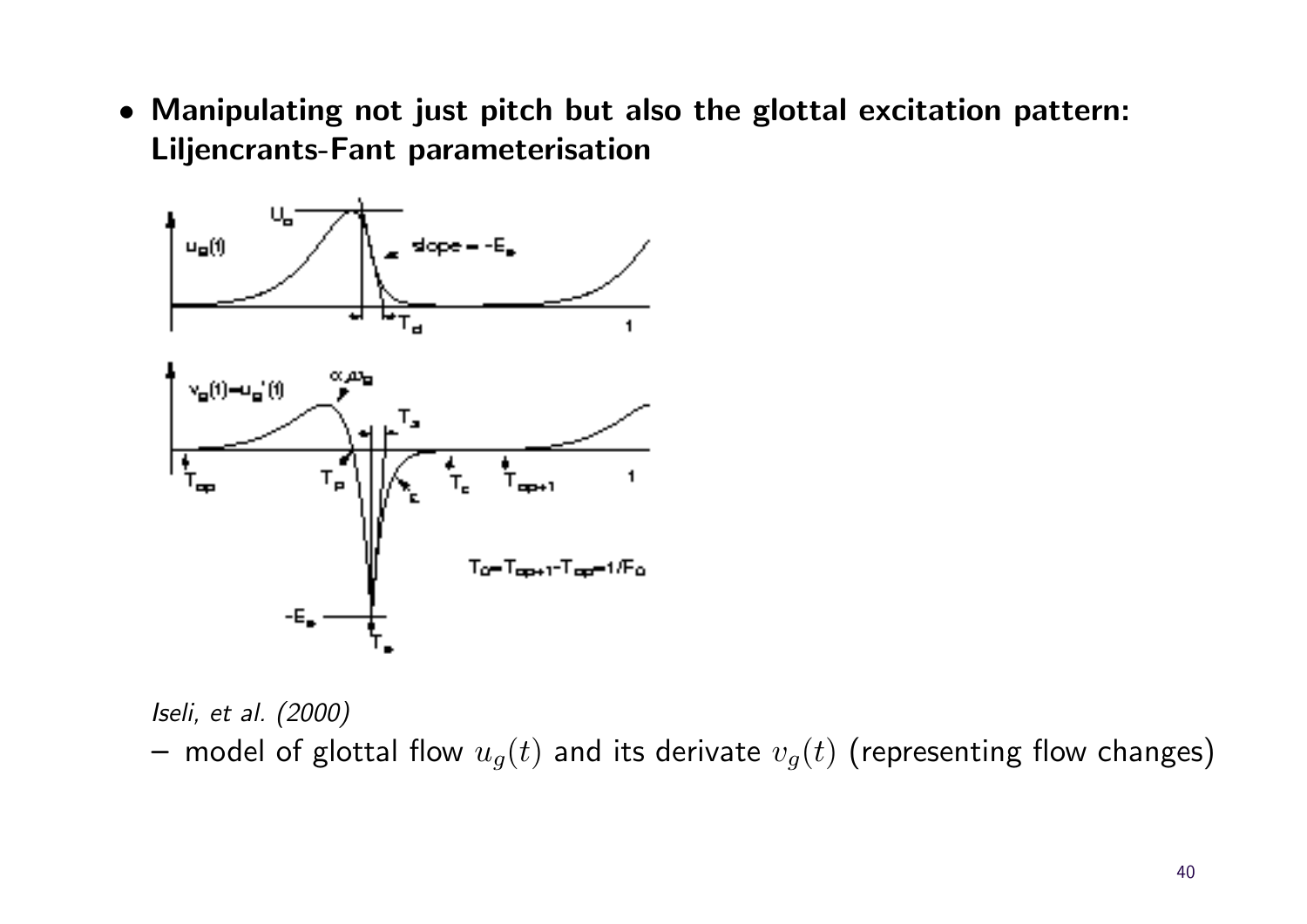• Manipulating not just pitch but also the glottal excitation pattern: Liljencrants-Fant parameterisation



Iseli, et al. (2000) – model of glottal flow  $u_g(t)$  and its derivate  $v_g(t)$  (representing flow changes)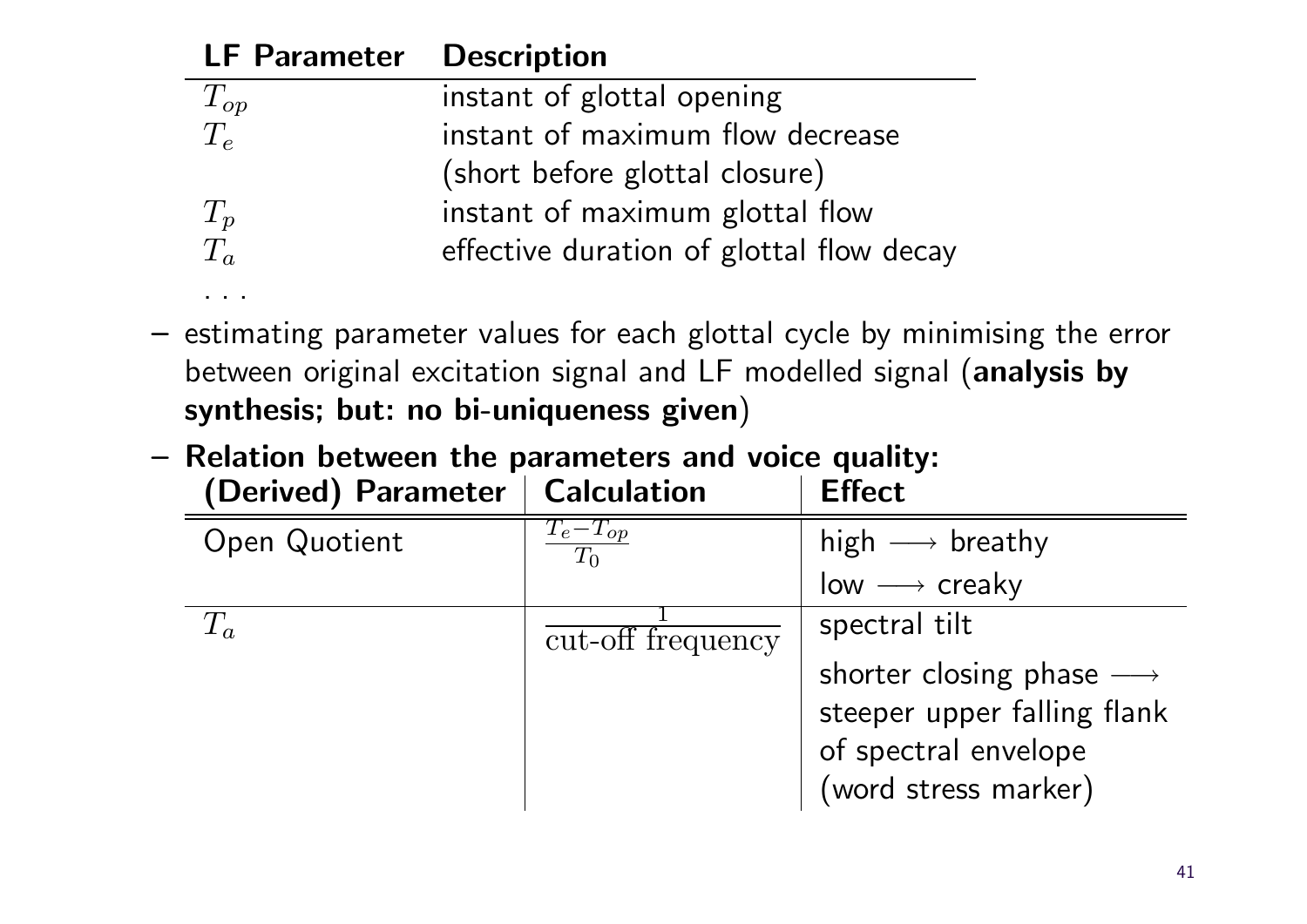| <b>LF Parameter Description</b> |                                          |
|---------------------------------|------------------------------------------|
|                                 | instant of glottal opening               |
| $\frac{T_{op}}{T_{e}}$          | instant of maximum flow decrease         |
|                                 | (short before glottal closure)           |
|                                 | instant of maximum glottal flow          |
| $\frac{T_p}{T_a}$               | effective duration of glottal flow decay |

- estimating parameter values for each glottal cycle by minimising the error between original excitation signal and LF modelled signal (analysis by synthesis; but: no bi-uniqueness given)
- Relation between the parameters and voice quality:

. . .

| (Derived) Parameter | <b>Calculation</b>    | <b>Effect</b>                           |
|---------------------|-----------------------|-----------------------------------------|
| Open Quotient       | $T_e-T_{op}$<br>$T_0$ | high $\longrightarrow$ breathy          |
|                     |                       | $low \longrightarrow$ creaky            |
| $T_{a}$             | cut-off frequency     | spectral tilt                           |
|                     |                       | shorter closing phase $\longrightarrow$ |
|                     |                       | steeper upper falling flank             |
|                     |                       | of spectral envelope                    |
|                     |                       | (word stress marker)                    |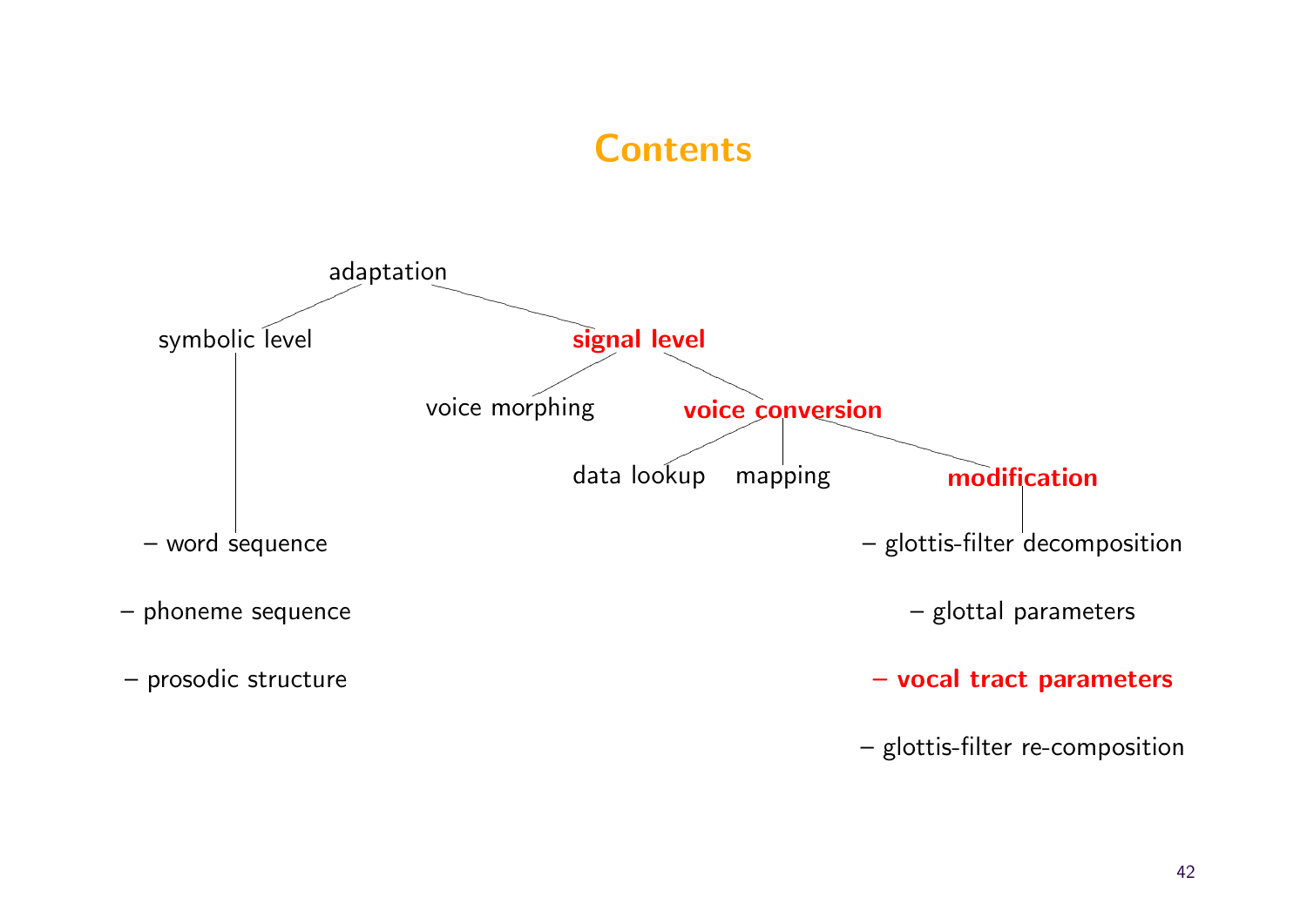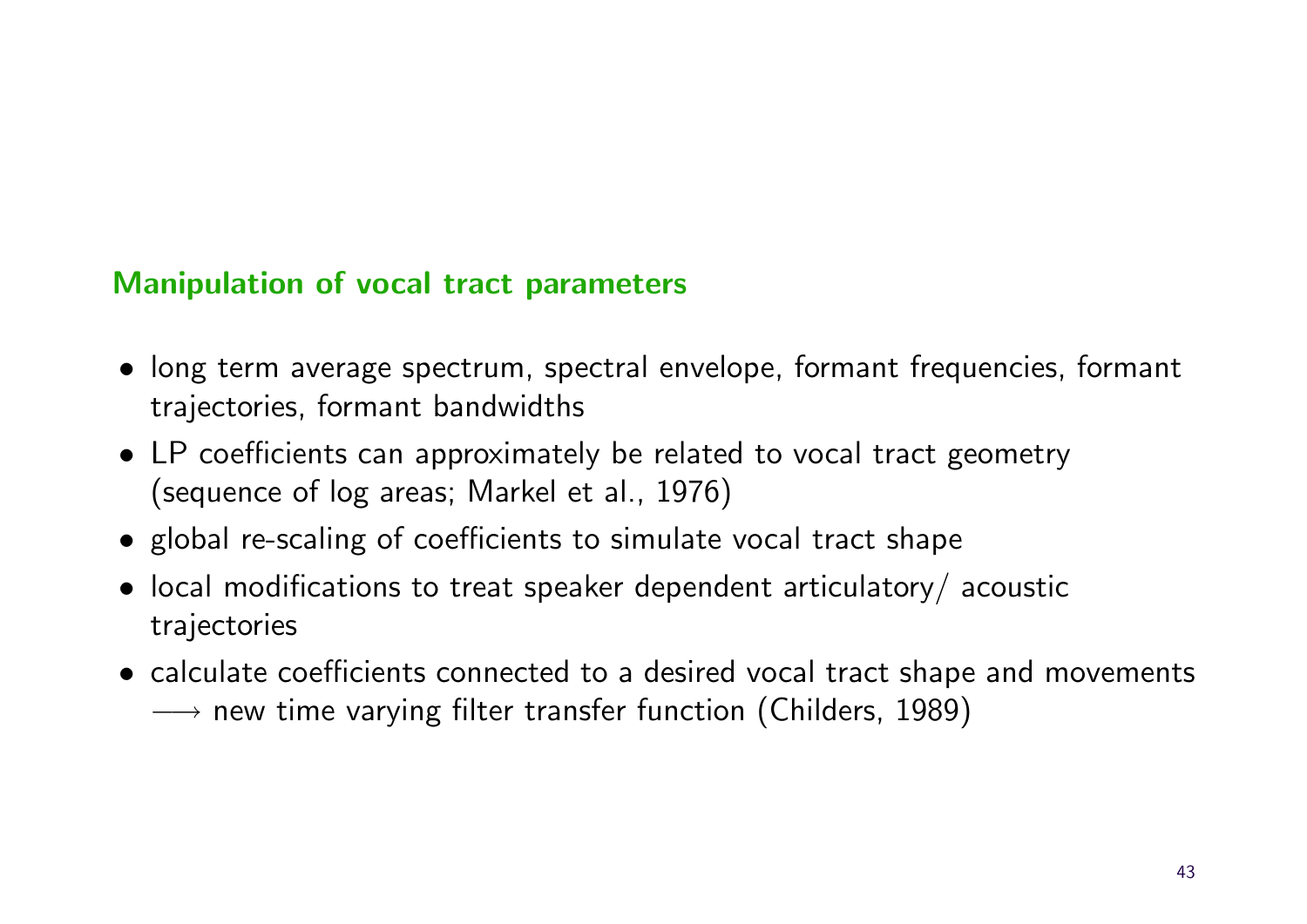#### Manipulation of vocal tract parameters

- long term average spectrum, spectral envelope, formant frequencies, formant trajectories, formant bandwidths
- LP coefficients can approximately be related to vocal tract geometry (sequence of log areas; Markel et al., 1976)
- global re-scaling of coefficients to simulate vocal tract shape
- local modifications to treat speaker dependent articulatory/ acoustic trajectories
- calculate coefficients connected to a desired vocal tract shape and movements  $\rightarrow$  new time varying filter transfer function (Childers, 1989)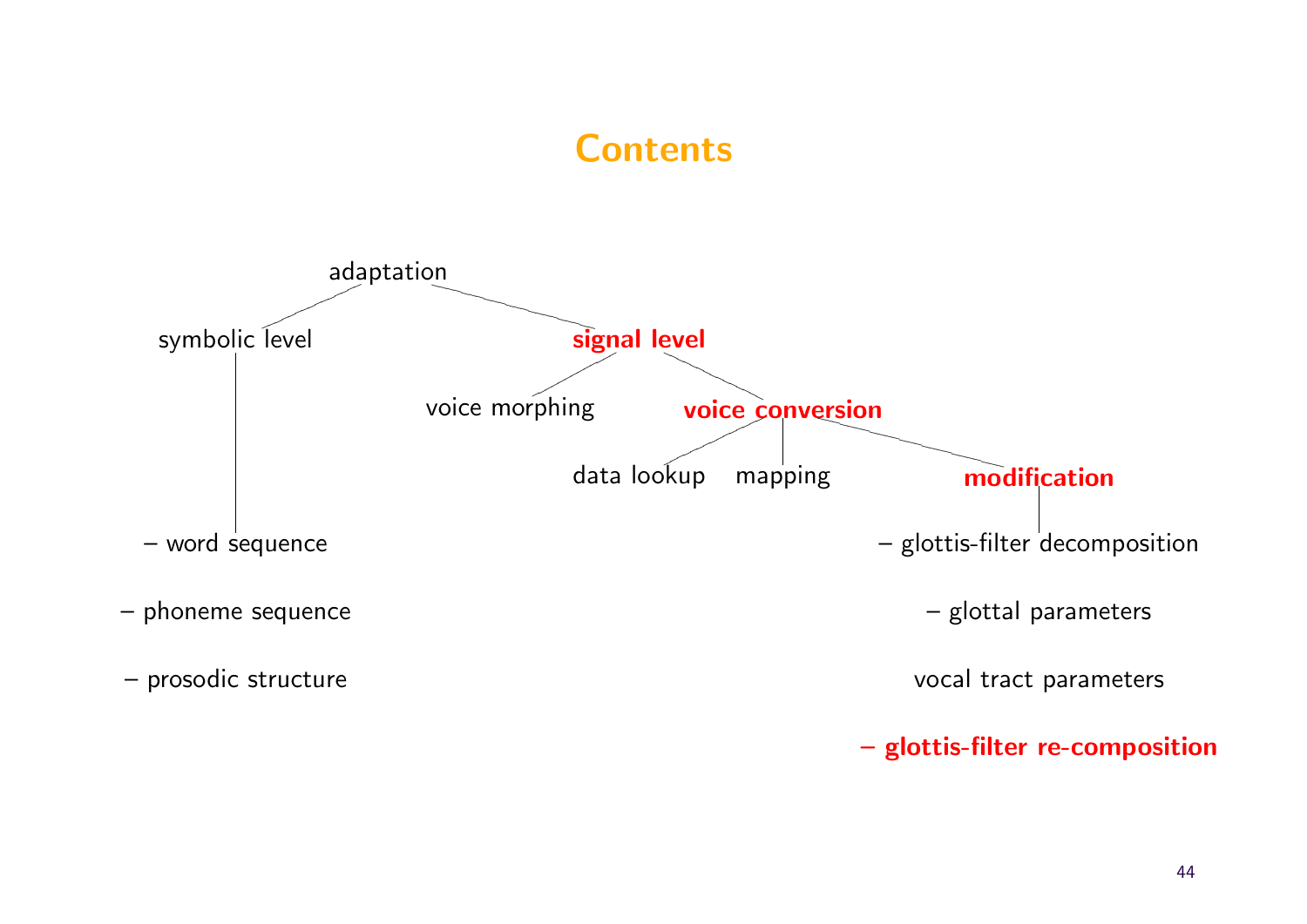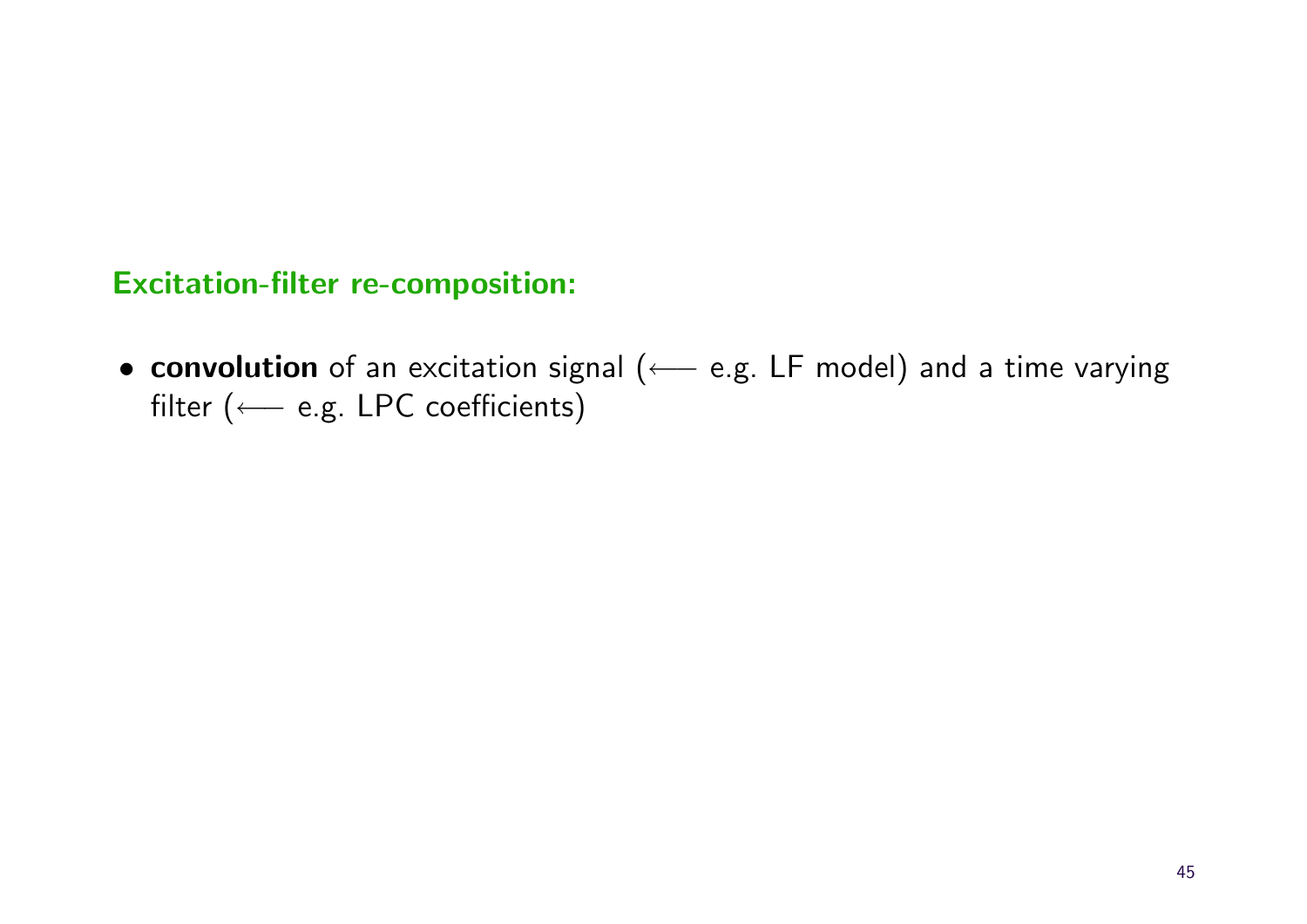#### Excitation-filter re-composition:

• convolution of an excitation signal (← e.g. LF model) and a time varying filter (←− e.g. LPC coefficients)